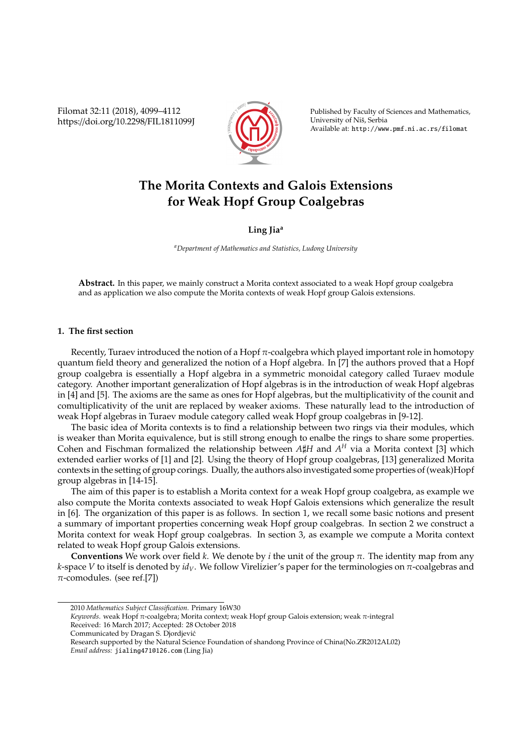Filomat 32:11 (2018), 4099–4112 https://doi.org/10.2298/FIL1811099J



Published by Faculty of Sciences and Mathematics, University of Nis, Serbia ˇ Available at: http://www.pmf.ni.ac.rs/filomat

# **The Morita Contexts and Galois Extensions for Weak Hopf Group Coalgebras**

## **Ling Jia<sup>a</sup>**

*<sup>a</sup>Department of Mathematics and Statistics, Ludong University*

**Abstract.** In this paper, we mainly construct a Morita context associated to a weak Hopf group coalgebra and as application we also compute the Morita contexts of weak Hopf group Galois extensions.

#### **1. The first section**

Recently, Turaev introduced the notion of a Hopf  $\pi$ -coalgebra which played important role in homotopy quantum field theory and generalized the notion of a Hopf algebra. In [7] the authors proved that a Hopf group coalgebra is essentially a Hopf algebra in a symmetric monoidal category called Turaev module category. Another important generalization of Hopf algebras is in the introduction of weak Hopf algebras in [4] and [5]. The axioms are the same as ones for Hopf algebras, but the multiplicativity of the counit and comultiplicativity of the unit are replaced by weaker axioms. These naturally lead to the introduction of weak Hopf algebras in Turaev module category called weak Hopf group coalgebras in [9-12].

The basic idea of Morita contexts is to find a relationship between two rings via their modules, which is weaker than Morita equivalence, but is still strong enough to enalbe the rings to share some properties. Cohen and Fischman formalized the relationship between  $A\sharp H$  and  $A^H$  via a Morita context [3] which extended earlier works of [1] and [2]. Using the theory of Hopf group coalgebras, [13] generalized Morita contexts in the setting of group corings. Dually, the authors also investigated some properties of (weak)Hopf group algebras in [14-15].

The aim of this paper is to establish a Morita context for a weak Hopf group coalgebra, as example we also compute the Morita contexts associated to weak Hopf Galois extensions which generalize the result in [6]. The organization of this paper is as follows. In section 1, we recall some basic notions and present a summary of important properties concerning weak Hopf group coalgebras. In section 2 we construct a Morita context for weak Hopf group coalgebras. In section 3, as example we compute a Morita context related to weak Hopf group Galois extensions.

**Conventions** We work over field *k*. We denote by *i* the unit of the group  $\pi$ . The identity map from any *k*-space *V* to itself is denoted by *idV*. We follow Virelizier's paper for the terminologies on π-coalgebras and  $\pi$ -comodules. (see ref.[7])

- *Keywords*. weak Hopf π-coalgebra; Morita context; weak Hopf group Galois extension; weak π-integral Received: 16 March 2017; Accepted: 28 October 2018
- Communicated by Dragan S. Djordjevic´

<sup>2010</sup> *Mathematics Subject Classification*. Primary 16W30

Research supported by the Natural Science Foundation of shandong Province of China(No.ZR2012AL02) *Email address:* jialing471@126.com (Ling Jia)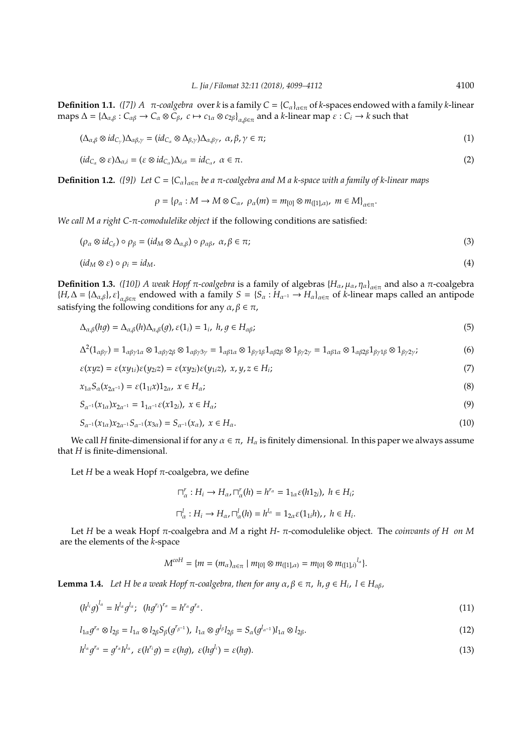.

**Definition 1.1.** *([7]) A*  $π$ -coalgebra over *k* is a family  $C = {C_{\alpha}}_{\alpha \in π}$  of *k*-spaces endowed with a family *k*-linear  $\max \Delta = {\{\Delta_{\alpha,\beta}: C_{\alpha\beta} \to C_{\alpha} \otimes C_{\beta}, \ c \mapsto c_{1\alpha} \otimes c_{2\beta}\}}_{\alpha,\beta \in \pi}$  and a *k*-linear map  $\varepsilon: C_i \to k$  such that

$$
(\Delta_{\alpha,\beta} \otimes id_{C_{\gamma}}) \Delta_{\alpha\beta,\gamma} = (id_{C_{\alpha}} \otimes \Delta_{\beta,\gamma}) \Delta_{\alpha,\beta\gamma}, \ \alpha, \beta, \gamma \in \pi;
$$
\n<sup>(1)</sup>

$$
(id_{C_{\alpha}} \otimes \varepsilon)\Delta_{\alpha,i} = (\varepsilon \otimes id_{C_{\alpha}})\Delta_{i,\alpha} = id_{C_{\alpha}}, \ \alpha \in \pi.
$$

**Definition 1.2.** *([9])* Let  $C = \{C_\alpha\}_{\alpha \in \pi}$  be a π-coalgebra and M a k-space with a family of k-linear maps

$$
\rho = {\rho_\alpha : M \to M \otimes C_\alpha, \ \rho_\alpha(m) = m_{[0]} \otimes m_{([1],\alpha)}, \ m \in M}^{\beta}_{\alpha \in \pi}
$$

*We call M a right C-*π*-comodulelike object* if the following conditions are satisfied:

$$
(\rho_{\alpha} \otimes id_{C_{\beta}}) \circ \rho_{\beta} = (id_M \otimes \Delta_{\alpha,\beta}) \circ \rho_{\alpha\beta}, \ \alpha, \beta \in \pi;
$$
 (3)

$$
(id_M \otimes \varepsilon) \circ \rho_i = id_M. \tag{4}
$$

**Definition 1.3.** *([10]) A weak Hopf*  $\pi$ -coalgebra is a family of algebras  $\{H_\alpha, \mu_\alpha, \eta_\alpha\}_{\alpha \in \pi}$  and also a π-coalgebra  ${H, \Delta = {\{\Delta_{\alpha,\beta}\}, \varepsilon\}}_{\alpha,\beta \in \pi}$  endowed with a family  $S = {S_\alpha : H_{\alpha^{-1}} \to H_\alpha\}}_{\alpha \in \pi}$  of *k*-linear maps called an antipode satisfying the following conditions for any  $\alpha, \beta \in \pi$ ,

$$
\Delta_{\alpha,\beta}(hg) = \Delta_{\alpha,\beta}(h)\Delta_{\alpha,\beta}(g), \varepsilon(1_i) = 1_i, \ h, g \in H_{\alpha\beta};\tag{5}
$$

$$
\Delta^2(1_{\alpha\beta\gamma}) = 1_{\alpha\beta\gamma1\alpha} \otimes 1_{\alpha\beta\gamma2\beta} \otimes 1_{\alpha\beta\gamma3\gamma} = 1_{\alpha\beta1\alpha} \otimes 1_{\beta\gamma1\beta} 1_{\alpha\beta2\beta} \otimes 1_{\beta\gamma2\gamma} = 1_{\alpha\beta1\alpha} \otimes 1_{\alpha\beta2\beta} 1_{\beta\gamma1\beta} \otimes 1_{\beta\gamma2\gamma};
$$
(6)

$$
\varepsilon(xyz) = \varepsilon(xy_{1i})\varepsilon(y_{2i}z) = \varepsilon(xy_{2i})\varepsilon(y_{1i}z), \ x, y, z \in H_i;
$$
\n(7)

$$
x_{1\alpha}S_{\alpha}(x_{2\alpha^{-1}}) = \varepsilon(1_{1i}x)1_{2\alpha}, \ x \in H_{\alpha};
$$
\n(8)

$$
S_{\alpha^{-1}}(x_{1\alpha})x_{2\alpha^{-1}} = 1_{1\alpha^{-1}}\varepsilon(x1_{2i}), \ x \in H_{\alpha};\tag{9}
$$

$$
S_{\alpha^{-1}}(x_{1\alpha})x_{2\alpha^{-1}}S_{\alpha^{-1}}(x_{3\alpha}) = S_{\alpha^{-1}}(x_{\alpha}), \ x \in H_{\alpha}.
$$
\n(10)

We call *H* finite-dimensional if for any  $\alpha \in \pi$ ,  $H_\alpha$  is finitely dimensional. In this paper we always assume that *H* is finite-dimensional.

Let  $H$  be a weak Hopf  $\pi$ -coalgebra, we define

$$
\begin{aligned} \nabla_{\alpha}^r : H_i &\rightarrow H_{\alpha}, \nabla_{\alpha}^r(h) = h^{r_{\alpha}} = 1_{1\alpha} \varepsilon(h1_{2i}), \ h \in H_i; \\ \nabla_{\alpha}^l : H_i &\rightarrow H_{\alpha}, \nabla_{\alpha}^l(h) = h^{l_{\alpha}} = 1_{2\alpha} \varepsilon(1_{1i}h), \ h \in H_i. \end{aligned}
$$

Let *H* be a weak Hopf π-coalgebra and *M* a right *H*- π-comodulelike object. The *coinvants of H on M* are the elements of the *k*-space

$$
M^{coH} = \{m = (m_{\alpha})_{\alpha \in \pi} \mid m_{[0]} \otimes m_{([1], \alpha)} = m_{[0]} \otimes m_{([1], i)}^{l_{\alpha}}\}.
$$

**Lemma 1.4.** *Let H be a weak Hopf*  $π$ -coalgebra, then for any  $α$ ,  $β ∈ π$ ,  $h$ ,  $g ∈ H$ <sub>*i*</sub>,  $l ∈ H$ <sub>αβ</sub>,

$$
\left(h^{l_i}g\right)^{l_\alpha}=h^{l_\alpha}g^{l_\alpha};\quad \left(hg^{r_i}\right)^{r_\alpha}=h^{r_\alpha}g^{r_\alpha}.\tag{11}
$$

$$
l_{1\alpha}g^{r_{\alpha}} \otimes l_{2\beta} = l_{1\alpha} \otimes l_{2\beta} S_{\beta}(g^{r_{\beta}-1}), \ l_{1\alpha} \otimes g^{l_{\beta}}l_{2\beta} = S_{\alpha}(g^{l_{\alpha}-1})l_{1\alpha} \otimes l_{2\beta}.
$$
\n
$$
(12)
$$

$$
h^{l_{\alpha}}g^{r_{\alpha}} = g^{r_{\alpha}}h^{l_{\alpha}}, \ \varepsilon(h^{r_{i}}g) = \varepsilon(hg), \ \varepsilon(hg^{l_{i}}) = \varepsilon(hg).
$$
\n(13)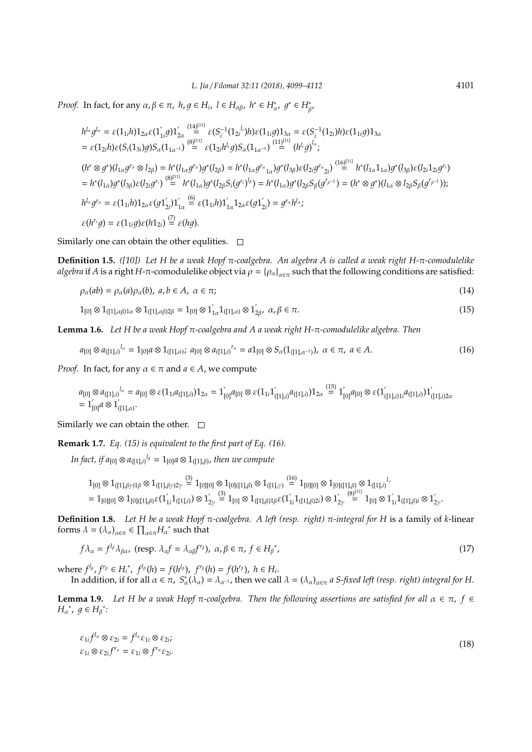*Proof.* In fact, for any  $\alpha, \beta \in \pi$ ,  $h, g \in H_i$ ,  $l \in H_{\alpha\beta}$ ,  $h^* \in H^*_\alpha$ ,  $g^* \in H^*_{\beta}$ ,

$$
h^{l_{\alpha}}g^{l_{\alpha}} = \varepsilon(1_{1i}h)1_{2\alpha}\varepsilon(1'_{1i}g)1'_{2\alpha} \stackrel{(14)[^{11}]}{=} \varepsilon(S_{i}^{-1}(1_{2i}{}^{l_{i}})h)\varepsilon(1_{1i}g)1_{3\alpha} = \varepsilon(S_{i}^{-1}(1_{2i})h)\varepsilon(1_{1i}g)1_{3\alpha}
$$
  
\n
$$
= \varepsilon(1_{2i}h)\varepsilon(S_{i}(1_{3i})g)S_{\alpha}(1_{1\alpha^{-1}}) \stackrel{(8)[^{11}]}{=} \varepsilon(1_{2i}h^{l_{i}}g)S_{\alpha}(1_{1\alpha^{-1}}) \stackrel{(11)[^{11}]}{=} (h^{l_{i}}g)^{l_{\alpha}};
$$
  
\n
$$
(h^{*} \otimes g^{*})(l_{1\alpha}g^{r_{\alpha}} \otimes l_{2\beta}) = h^{*}(l_{1\alpha}g^{r_{\alpha}})g^{*}(l_{2\beta}) = h^{*}(l_{1\alpha}g^{r_{\alpha}}_{1\alpha})g^{*}(l_{3\beta})\varepsilon(l_{2i}g^{r_{\alpha}}_{2i}) \stackrel{(16)[^{11}]}{=} h^{*}(l_{1\alpha}1_{1\alpha})g^{*}(l_{3\beta})\varepsilon(l_{2i}1_{2i}g^{r_{i}})
$$
  
\n
$$
= h^{*}(l_{1\alpha})g^{*}(l_{3\beta})\varepsilon(l_{2i}g^{r_{i}}) \stackrel{(8)[^{11}]}{=} h^{*}(l_{1\alpha})g^{*}(l_{2\beta}S_{i}(g^{r_{i}})^{l_{\beta}}) = h^{*}(l_{1\alpha})g^{*}(l_{2\beta}S_{\beta}(g^{r_{\beta^{-1}}})) = (h^{*} \otimes g^{*})(l_{1\alpha} \otimes l_{2\beta}S_{\beta}(g^{r_{\beta^{-1}}}))
$$
  
\n
$$
h^{l_{\alpha}}g^{r_{\alpha}} = \varepsilon(1_{1i}h)1_{2\alpha}\varepsilon(g1'_{2i})1'_{1\alpha} \stackrel{(6)}{=} \varepsilon(1_{1i}h)1'_{1\alpha}1_{2\alpha}\varepsilon(g1'_{2i}) = g^{r_{\alpha}}h^{l_{\alpha}};
$$
<

Similarly one can obtain the other equlities.  $\Box$ 

**Definition 1.5.** *([10]) Let H be a weak Hopf* π*-coalgebra. An algebra A is called a weak right H-*π*-comodulelike algebra* if *A* is a right *H*- $\pi$ -comodulelike object via  $\rho = \{\rho_\alpha\}_{\alpha \in \pi}$  such that the following conditions are satisfied:

$$
\rho_{\alpha}(ab) = \rho_{\alpha}(a)\rho_{\alpha}(b), \ a, b \in A, \ \alpha \in \pi;
$$
\n(14)

$$
1_{[0]}\otimes 1_{([1],\alpha\beta)1\alpha}\otimes 1_{([1],\alpha\beta)2\beta}=1_{[0]}\otimes 1_{1\alpha}^{'}1_{([1],\alpha)}\otimes 1_{2\beta}^{'},\ \alpha,\beta\in\pi.
$$
\n(15)

**Lemma 1.6.** *Let H be a weak Hopf* π*-coalgebra and A a weak right H-*π*-comodulelike algebra. Then*

$$
a_{[0]} \otimes a_{([1],i)}^{l_{\alpha}} = 1_{[0]} a \otimes 1_{([1],\alpha)}; \ a_{[0]} \otimes a_{([1],i)}^{r_{\alpha}} = a1_{[0]} \otimes S_{\alpha}(1_{([1],\alpha^{-1})}), \ \alpha \in \pi, \ a \in A. \tag{16}
$$

*Proof.* In fact, for any  $\alpha \in \pi$  and  $a \in A$ , we compute

$$
\begin{array}{l} a_{[0]} \otimes a_{([1],i)}{}^{l_{\alpha}} = a_{[0]} \otimes \varepsilon(1_{1i}a_{([1],i)}) 1_{2\alpha} = 1_{[0]}^{'} a_{[0]} \otimes \varepsilon(1_{1i} 1_{([1],i)}^{'} a_{([1],i)}) 1_{2\alpha} \stackrel{(15)}{=} 1_{[0]}^{'} a_{[0]} \otimes \varepsilon(1_{([1],i)1}^{'} a_{([1],i)}) 1_{([1],i)2\alpha}^{'} \\ = 1_{[0]}^{'} a \otimes 1_{([1],\alpha)}^{'} .\end{array}
$$

Similarly we can obtain the other.  $\square$ 

**Remark 1.7.** *Eq. (15) is equivalent to the first part of Eq. (16).*

In fact, if  $a_{[0]}\otimes a_{([1],i)}{}^{l_{\beta}} = 1_{[0]}a\otimes 1_{([1],\beta)}$ , then we compute

$$
\begin{array}{l}1_{[0]}\otimes 1_{([1],\beta\gamma)1\beta}\otimes 1_{([1],\beta\gamma)2\gamma}\stackrel{(3)}{=}\, 1_{[0][0]}\otimes 1_{[0]([1],\beta)}\otimes 1_{([1],\gamma)}\stackrel{(16)}{=}\, 1_{[0][0]}\otimes 1_{[0]([1],\beta)}\otimes 1_{([1],\beta)}^{l_{\gamma}}\\=1_{[0][0]}\otimes 1_{[0]([1],\beta)}\varepsilon(1_{1i}^{'}1_{([1],i)})\otimes 1_{2\gamma}^{'}\stackrel{(3)}{=}\, 1_{[0]}\otimes 1_{([1],\beta)1}\varepsilon(1_{1i}^{'}1_{([1],\beta)2i})\otimes 1_{2\gamma}^{'}\stackrel{(8)^{[11]}}{=}\, 1_{[0]}\otimes 1_{[1}^{'}1_{([1],\beta)i}\otimes 1_{2\gamma}^{'}\\ \end{array}
$$

**Definition 1.8.** *Let H be a weak Hopf* π*-coalgebra. A left (resp. right)* π*-integral for H* is a family of *k*-linear forms  $\lambda = (\lambda_{\alpha})_{\alpha \in \pi} \in \prod_{\alpha \in \pi} H_{\alpha}^*$  such that

$$
f\lambda_{\alpha} = f^{l_{\beta}}\lambda_{\beta\alpha}, \text{ (resp. } \lambda_{\alpha}f = \lambda_{\alpha\beta}f^{r_{\beta}}), \ \alpha, \beta \in \pi, \ f \in H_{\beta}^*, \tag{17}
$$

 $\mathbf{where} \ f^{l_{\beta}}, f^{r_{\beta}} \in H_i^*$ ,  $f^{l_{\beta}}(h) = f(h^{l_{\beta}})$ ,  $f^{r_{\beta}}(h) = f(h^{r_{\beta}})$ ,  $h \in H_i$ . In addition, if for all  $\alpha \in \pi$ ,  $S^*_{\alpha}(\lambda_{\alpha}) = \lambda_{\alpha^{-1}}$ , then we call  $\lambda = (\lambda_{\alpha})_{\alpha \in \pi}$  a *S-fixed left (resp. right) integral for* H.

**Lemma 1.9.** Let *H* be a weak Hopf π-coalgebra. Then the following assertions are satisfied for all  $\alpha$  ∈ π,  $f$  ∈  $H_{\alpha}^*$ ,  $g \in H_{\beta}^*$ :

$$
\varepsilon_{1i} f^{l_{\alpha}} \otimes \varepsilon_{2i} = f^{l_{\alpha}} \varepsilon_{1i} \otimes \varepsilon_{2i};
$$
  
\n
$$
\varepsilon_{1i} \otimes \varepsilon_{2i} f^{r_{\alpha}} = \varepsilon_{1i} \otimes f^{r_{\alpha}} \varepsilon_{2i}.
$$
\n(18)

.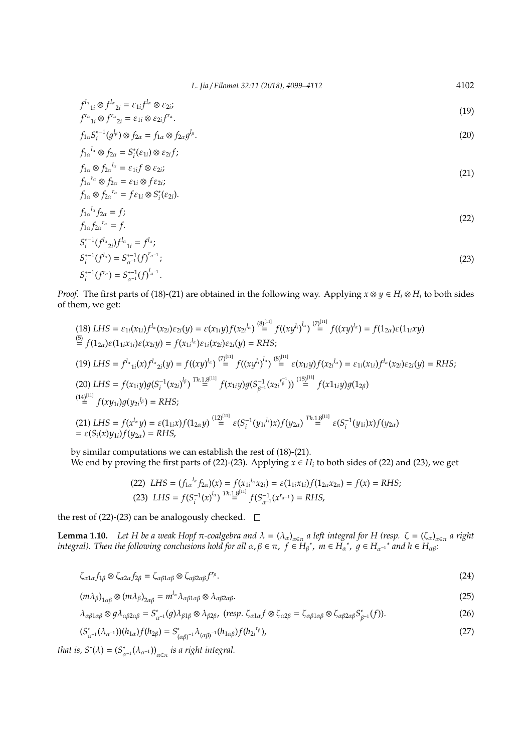$$
f^{l_{\alpha}}_{i_{1i}} \otimes f^{l_{\alpha}}_{i_{2i}} = \varepsilon_{1i} f^{l_{\alpha}} \otimes \varepsilon_{2i};
$$
\n<sup>(19)</sup>

$$
f^{r_{\alpha}}{}_{1i} \otimes f^{r_{\alpha}}{}_{2i} = \varepsilon_{1i} \otimes \varepsilon_{2i} f^{r_{\alpha}}.
$$
  

$$
f_{1\alpha} S_i^{*-1}(g^{l_{\beta}}) \otimes f_{2\alpha} = f_{1\alpha} \otimes f_{2\alpha} g^{l_{\beta}}.
$$
 (20)

$$
f_{1\alpha}^{l_{\alpha}} \otimes f_{2\alpha} = S_i^*(\varepsilon_{1i}) \otimes \varepsilon_{2i} f;
$$

$$
f_{1\alpha} \otimes f_{2\alpha}^{l_{\alpha}} = \varepsilon_{1i} f \otimes \varepsilon_{2i};
$$
  
\n
$$
f_{1\alpha}^{r_{\alpha}} \otimes f_{2\alpha} = \varepsilon_{1i} \otimes f\varepsilon_{2i};
$$
  
\n
$$
f_{1\alpha} \otimes f_{2\alpha}^{r_{\alpha}} = f\varepsilon_{1i} \otimes S_{i}^{*}(\varepsilon_{2i}).
$$
\n(21)

$$
f_{1\alpha} \otimes f_{2\alpha}^{\prime \alpha} = f \varepsilon_{1i} \otimes S_i^* (\varepsilon_{2i}).
$$
  
\n
$$
f_{1\alpha}^{\prime \alpha} f_{2\alpha} = f;
$$
\n
$$
f_{1\alpha}^{\prime \alpha} f_{2\alpha} = f;
$$
\n
$$
(22)
$$

$$
f_{1\alpha} f_{2\alpha}^{r_{\alpha}} = f.
$$
  
\n
$$
S_i^{*-1} (f^{l_{\alpha}}{}_{2i}) f^{l_{\alpha}}{}_{1i} = f^{l_{\alpha}};
$$
  
\n
$$
S_i^{*-1} (f^{l_{\alpha}}) = S_{\alpha^{-1}}^{*-1} (f)^{r_{\alpha^{-1}}};
$$
  
\n
$$
S_i^{*-1} (f^{r_{\alpha}}) = S_{\alpha^{-1}}^{*-1} (f)^{l_{\alpha^{-1}}}.
$$
  
\n(23)

*Proof.* The first parts of (18)-(21) are obtained in the following way. Applying  $x \otimes y \in H_i \otimes H_i$  to both sides of them, we get:

$$
(18) \ LHS = \varepsilon_{1i}(x_{1i})f^{l_{\alpha}}(x_{2i})\varepsilon_{2i}(y) = \varepsilon(x_{1i}y)f(x_{2i}^{l_{\alpha}}) \stackrel{(8)[111]}{=} f((xy^{l_{i}})^{l_{\alpha}}) \stackrel{(7)[111]}{=} f((xy)^{l_{\alpha}}) = f(1_{2\alpha})\varepsilon(1_{1i}xy)
$$
\n
$$
\stackrel{(5)}{=} f(1_{2\alpha})\varepsilon(1_{1i}x_{1i})\varepsilon(x_{2i}y) = f(x_{1i}^{l_{\alpha}})\varepsilon_{1i}(x_{2i})\varepsilon_{2i}(y) = RHS;
$$
\n
$$
(19) \ LHS = f^{l_{\alpha}}_{1i}(x)f^{l_{\alpha}}_{2i}(y) = f((xy)^{l_{\alpha}}) \stackrel{(7)[111]}{=} f((xy^{l_{i}})^{l_{\alpha}}) \stackrel{(8)[111]}{=} \varepsilon(x_{1i}y)f(x_{2i}^{l_{\alpha}}) = \varepsilon_{1i}(x_{1i})f^{l_{\alpha}}(x_{2i})\varepsilon_{2i}(y) = RHS;
$$
\n
$$
(20) \ LHS = f(x_{1i}y)g(S_{i}^{-1}(x_{2i})^{l_{\beta}}) \stackrel{Th.1.8}{=} f(x_{1i}y)g(S_{\beta}^{-1}(x_{2i}^{r_{\beta}})) \stackrel{(15)[111]}{=} f(x1_{1i}y)g(1_{2\beta})
$$
\n
$$
\stackrel{(14)[111]}{=} f(xy_{1i})g(y_{2i}^{l_{\beta}}) = RHS;
$$
\n
$$
(21) \ LHS = f(x^{l_{\alpha}}y) = \varepsilon(1_{1i}x)f(1_{2\alpha}y) \stackrel{(12)[111]}{=} \varepsilon(S_{i}^{-1}(y_{1i}^{l_{i}})x)f(y_{2\alpha}) \stackrel{Th.1.8}{=} \varepsilon(S_{i}^{-1}(y_{1i})x)f(y_{2\alpha})
$$
\n
$$
= \varepsilon(S_{i}(x)y_{1i})f(y_{2\alpha}) = RHS;
$$

by similar computations we can establish the rest of (18)-(21). We end by proving the first parts of (22)-(23). Applying  $x \in H_i$  to both sides of (22) and (23), we get

(22) LHS = 
$$
(f_{1\alpha}^{l_{\alpha}} f_{2\alpha})(x) = f(x_{1i}^{l_{\alpha}} x_{2i}) = \varepsilon(1_{1i}x_{1i})f(1_{2\alpha}x_{2\alpha}) = f(x) = RHS;
$$
  
(23) LHS =  $f(S_i^{-1}(x)^{l_{\alpha}})^{\text{Th.1.8}^{[11]}} f(S_{\alpha^{-1}}^{-1}(x^{r_{\alpha^{-1}}}) = RHS;$ 

the rest of (22)-(23) can be analogously checked.  $\square$ 

**Lemma 1.10.** Let H be a weak Hopf  $\pi$ -coalgebra and  $\lambda = (\lambda_\alpha)_{\alpha \in \pi}$  a left integral for H (resp.  $\zeta = (\zeta_\alpha)_{\alpha \in \pi}$  a right  $i$  *integral*). Then the following conclusions hold for all  $\alpha, \beta \in \pi$ ,  $f \in H_\beta^*$ ,  $m \in H_\alpha^*$ ,  $g \in H_{\alpha^{-1}}^*$  and  $h \in H_{\alpha\beta}$ .

$$
\zeta_{\alpha 1 \alpha} f_{1\beta} \otimes \zeta_{\alpha 2 \alpha} f_{2\beta} = \zeta_{\alpha \beta 1 \alpha \beta} \otimes \zeta_{\alpha \beta 2 \alpha \beta} f^{r_{\beta}}.
$$
\n(24)

$$
(m\lambda_{\beta})_{1\alpha\beta}\otimes(m\lambda_{\beta})_{2\alpha\beta}=m^{l_{\alpha}}\lambda_{\alpha\beta1\alpha\beta}\otimes\lambda_{\alpha\beta2\alpha\beta}.
$$
\n(25)

$$
\lambda_{\alpha\beta1\alpha\beta}\otimes g\lambda_{\alpha\beta2\alpha\beta} = S_{\alpha^{-1}}^*(g)\lambda_{\beta1\beta}\otimes\lambda_{\beta2\beta}, \ (resp. \ \zeta_{\alpha1\alpha}f\otimes\zeta_{\alpha2\beta} = \zeta_{\alpha\beta1\alpha\beta}\otimes\zeta_{\alpha\beta2\alpha\beta}S_{\beta^{-1}}^*(f)). \tag{26}
$$

$$
(S_{\alpha^{-1}}^*(\lambda_{\alpha^{-1}}))(h_{1\alpha})f(h_{2\beta}) = S_{(\alpha\beta)^{-1}}^*(h_{1\alpha\beta})f(h_{2i}^{r_{\beta}}),
$$
\n(27)

*that is,*  $S^*(\lambda) = (S^*_{\alpha^{-1}}(\lambda_{\alpha^{-1}}))_{\alpha \in \pi}$  *is a right integral.*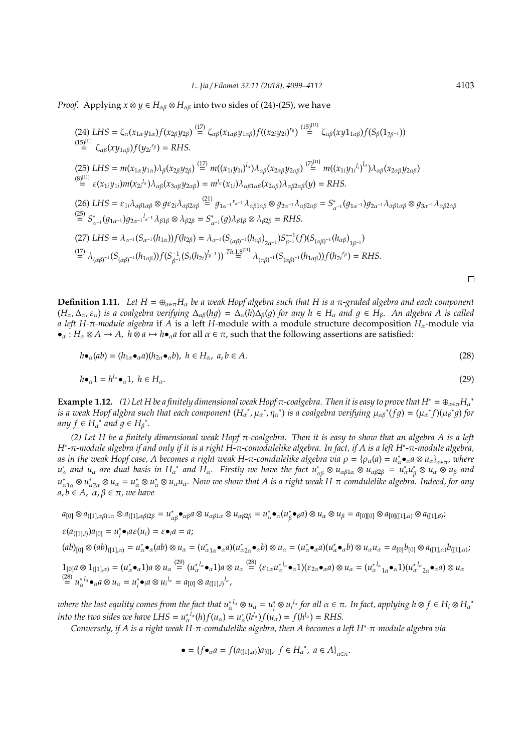*Proof.* Applying  $x \otimes y \in H_{\alpha\beta} \otimes H_{\alpha\beta}$  into two sides of (24)-(25), we have

(24) LHS = 
$$
\zeta_{\alpha}(x_{1\alpha}y_{1\alpha})f(x_{2\beta}y_{2\beta}) \stackrel{(17)}{=} \zeta_{\alpha\beta}(x_{1\alpha\beta}y_{1\alpha\beta})f((x_{2i}y_{2i})^{r_{\beta}})^{(\frac{15}{2})} \zeta_{\alpha\beta}(xy_{1\alpha\beta})f(S_{\beta}(1_{2\beta-1}))
$$
  
\n(15)<sup>[11]</sup>  
\n(25) LHS =  $m(x_{1\alpha}y_{1\alpha})\lambda_{\beta}(x_{2\beta}y_{2\beta}) \stackrel{(17)}{=} m((x_{1i}y_{1i})^{l_{\alpha}})\lambda_{\alpha\beta}(x_{2\alpha\beta}y_{2\alpha\beta}) \stackrel{(7)}{=} m((x_{1i}y_{1i}^{l_{1}})^{l_{\alpha}})\lambda_{\alpha\beta}(x_{2\alpha\beta}y_{2\alpha\beta})$   
\n(8)<sup>[11]</sup>  
\n(9)<sup>[11]</sup>  
\n(19)<sup>[11]</sup>  
\n(19)<sup>[12]</sup>  
\n(19)<sup>[13]</sup>  
\n(19)<sup>[14]</sup>  
\n(19)<sup>[16]</sup>  
\n(19)<sup>[17]</sup>  
\n(19)<sup>[18]</sup>  
\n(19)<sup>[19]</sup>  
\n(19)<sup>[19]</sup>  
\n(19)<sup>[10]</sup>  
\n(19)<sup>[11]</sup>  
\n(19)<sup>[10]</sup>  
\n(19)<sup>[11]</sup>  
\n(19)<sup>[11]</sup>  
\n(19)<sup>[10]</sup>  
\n(19)<sup>[11]</sup>  
\n(19)<sup>[11]</sup>  
\n(19)<sup>[11]</sup>  
\n(19)<sup>[11]</sup>  
\n(19)<sup>[11]</sup>  
\n(19)<sup>[11]</sup>  
\n(19)<sup>[11]</sup>  
\n(19)<sup>[11]</sup>  
\n(19)<sup>[11]</sup>  
\n(19)<sup>[11]</sup>  
\n(19)<sup>[11]</sup>  
\n(19)<sup>[11]</sup>  
\n(19)<sup>[11]</sup>  
\n(19)<sup>[11]</sup>  
\n(19)<sup>[11]</sup>  
\n(19)<sup>[11]</sup><

 $(15)$ [11]

**Definition 1.11.** *Let*  $H = \bigoplus_{\alpha \in \pi} H_{\alpha}$  *be a weak Hopf algebra such that* H *is a* π-graded algebra and each component  $(H_\alpha, \Delta_\alpha, \varepsilon_\alpha)$  *is a coalgebra verifying*  $\Delta_{\alpha\beta}(hg) = \Delta_\alpha(h)\Delta_\beta(g)$  *for any*  $h \in H_\alpha$  *and*  $g \in H_\beta$ *. An algebra A is called a left H-*π*-module algebra* if *A* is a left *H*-module with a module structure decomposition *H*α-module via  $\bullet_{\alpha}: H_{\alpha} \otimes A \to A$ ,  $h \otimes a \mapsto h \bullet_{\alpha} a$  for all  $\alpha \in \pi$ , such that the following assertions are satisfied:

$$
h\bullet_{\alpha}(ab)=(h_{1\alpha}\bullet_{\alpha}a)(h_{2\alpha}\bullet_{\alpha}b),\ h\in H_{\alpha},\ a,b\in A.
$$
\n(28)

$$
h\bullet_{\alpha}1 = h^{l_{\alpha}}\bullet_{\alpha}1, \ h \in H_{\alpha}.\tag{29}
$$

**Example 1.12.** (1) Let H be a finitely dimensional weak Hopf  $\pi$ -coalgebra. Then it is easy to prove that H<sup>∗</sup> =  $\oplus_{\alpha \in \pi} H_{\alpha}$ <sup>\*</sup> *is a weak Hopf algbra such that each component*  $(H_\alpha^*, \mu_\alpha^*, n_\alpha^*)$  *is a coalgebra verifying*  $\mu_\alpha \beta^*(fg) = (\mu_\alpha^* f)(\mu_\beta^* g)$  for  $any f \in H_\alpha^*$  and  $g \in H_\beta^*.$ 

*(2) Let H be a finitely dimensional weak Hopf* π*-coalgebra. Then it is easy to show that an algebra A is a left H*∗ *-*π*-module algebra if and only if it is a right H-*π*-comodulelike algebra. In fact, if A is a left H*<sup>∗</sup> *-*π*-module algebra,* as in the weak Hopf case, A becomes a right weak H-π-comdulelike algebra via  $\rho = \{\rho_\alpha(a) = u^*_\alpha \bullet_\alpha a \otimes u_\alpha\}_{\alpha \in \pi'}$  where  $u^*_{\alpha}$  and  $u_{\alpha}$  are dual basis in  $H_{\alpha}$ <sup>\*</sup> and  $H_{\alpha}$ . Firstly we have the fact  $u^*_{\alpha\beta}\otimes u_{\alpha\beta1\alpha}\otimes u_{\alpha\beta2\beta} = u^*_{\alpha}u^*_{\beta}$  $\mu_{\beta}^* \otimes u_{\alpha} \otimes u_{\beta}$  and  $u_{\alpha1\alpha}^*$  ⊗  $u_{\alpha2\alpha}^*$  ⊗  $u_\alpha = u_\alpha^*$  ⊗  $u_\alpha u_\alpha$ . Now we show that A is a right weak H-π-comdulelike algebra. Indeed, for any  $a, b \in A$ ,  $\alpha, \beta \in \pi$ , we have

$$
a_{[0]}\otimes a_{([1],\alpha\beta)1\alpha}\otimes a_{([1],\alpha\beta)2\beta}=u_{\alpha\beta}^*\bullet_{\alpha\beta}a\otimes u_{\alpha\beta1\alpha}\otimes u_{\alpha\beta2\beta}=u_{\alpha}^*\bullet_{\alpha}(u_{\beta}^*\bullet_{\beta}a)\otimes u_{\alpha}\otimes u_{\beta}=a_{[0][0]}\otimes a_{[0][(1],\alpha)}\otimes a_{([1],\beta)};
$$

$$
\varepsilon(a_{([1],i)})a_{[0]} = u_i^* \bullet_i a \varepsilon(u_i) = \varepsilon \bullet_i a = a;
$$

 $(ab)_{[0]}\otimes (ab)_{([1],\alpha)}=u_\alpha^*\bullet_\alpha(ab)\otimes u_\alpha=(u_{\alpha1\alpha}^*\bullet_\alpha a)(u_{\alpha2\alpha}^*\bullet_\alpha b)\otimes u_\alpha=(u_\alpha^*\bullet_\alpha a)(u_\alpha^*\bullet_\alpha b)\otimes u_\alpha u_\alpha=a_{[0]}b_{[0]}\otimes a_{([1],\alpha)}b_{([1],\alpha)};$ 

 $1_{[0]}a\otimes 1_{([1],\alpha)}=(u_\alpha^*\bullet_\alpha 1)a\otimes u_\alpha\stackrel{(29)}{=}(u_\alpha^{*_{l_\alpha}}\bullet_\alpha 1)a\otimes u_\alpha\stackrel{(28)}{=}( \varepsilon_{1\alpha}u_\alpha^{*_{l_\alpha}}\bullet_\alpha 1)(\varepsilon_{2\alpha}\bullet_\alpha a)\otimes u_\alpha=(u_\alpha^{*_{l_\alpha}}{}_{1\alpha}\bullet_\alpha 1)(u_\alpha^{*_{l_\alpha}}{}_{2\alpha}\bullet_\alpha a)\otimes u_\alpha$  $\stackrel{(28)}{=} u_{\alpha}^{* l_{\alpha}} \bullet_{\alpha} a \otimes u_{\alpha} = u_{i}^{*}$  $i^*$ **•***i* $a \otimes u_i^{l_\alpha} = a_{[0]} \otimes a_{([1],i)}^{l_\alpha}$ 

where the last equlity comes from the fact that  $u_\alpha^{*\,l_\alpha}\otimes u_\alpha=u_i^*$  $\int_i^*$ ⊗ *u*<sub>*i*</sub><sup>*l*</sup>α *for all* α ∈ π. In fact, applying  $h \otimes f$  ∈  $H_i \otimes H$ <sub>α</sub><sup>\*</sup> *into the two sides we have LHS* =  $u_\alpha^*$ <sup>*l*</sup><sub>a</sub>(*h*)*f*( $u_\alpha$ ) =  $u_\alpha^*(h^{l_\alpha})$ *f*( $u_\alpha$ ) = *f*( $h^{l_\alpha}$ ) = *RHS*.

*Conversely, if A is a right weak H-*π*-comdulelike algebra, then A becomes a left H*<sup>∗</sup> *-*π*-module algebra via*

$$
\bullet = \{ f \bullet_{\alpha} a = f(a_{([1], \alpha)}) a_{[0]}, \ f \in H_{\alpha}^*, \ a \in A \}_{\alpha \in \pi}.
$$

 $\Box$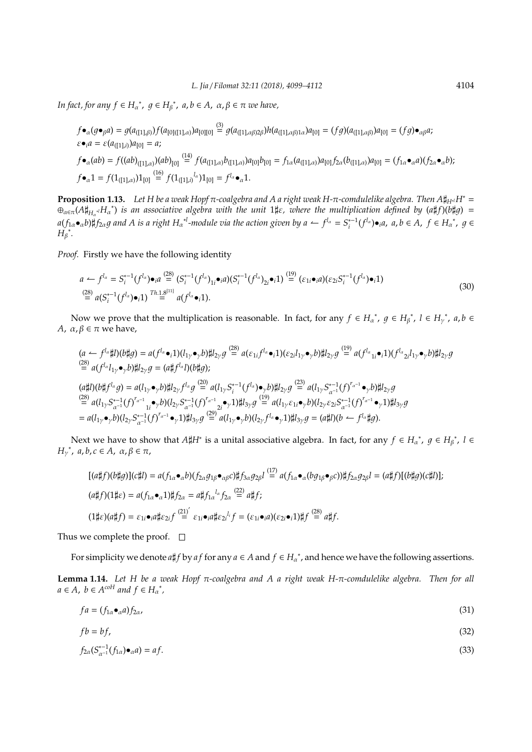$\text{Im } \text{fact, for any } f \in H_{\alpha}^*, \ g \in H_{\beta}^*, \ a, b \in A, \ \alpha, \beta \in \pi \ \text{we have,}$ 

$$
f \bullet_{\alpha}(g \bullet_{\beta} a) = g(a_{([1],\beta)}) f(a_{[0][[1],\alpha)}) a_{[0][0]} \stackrel{(3)}{=} g(a_{([1],\alpha\beta)2\beta}) h(a_{([1],\alpha\beta)1\alpha}) a_{[0]} = (fg)(a_{([1],\alpha\beta)}) a_{[0]} = (fg) \bullet_{\alpha\beta} a;
$$
  
\n
$$
\varepsilon \bullet_{i} a = \varepsilon (a_{([1],i)}) a_{[0]} = a;
$$
  
\n
$$
f \bullet_{\alpha}(ab) = f((ab)_{([1],\alpha)})(ab)_{[0]} \stackrel{(14)}{=} f(a_{([1],\alpha)}b_{([1],\alpha)}) a_{[0]} b_{[0]} = f_{1\alpha}(a_{([1],\alpha)}) a_{[0]} f_{2\alpha}(b_{([1],\alpha)}) a_{[0]} = (f_{1\alpha} \bullet_{\alpha} a)(f_{2\alpha} \bullet_{\alpha} b);
$$
  
\n
$$
f \bullet_{\alpha} 1 = f(1_{([1],\alpha)}) 1_{[0]} \stackrel{(16)}{=} f(1_{([1],\beta}) a_{[0]} = f_{1\alpha} \bullet_{\alpha} 1.
$$

**Proposition 1.13.** Let H be a weak Hopf π-coalgebra and A a right weak H-π-comdulelike algebra. Then  $A\sharp_{H^d}H^* =$  $\oplus_{\alpha\in\pi}(A\sharp_{H_{\alpha}}H_{\alpha}^*)$  is an associative algebra with the unit 1‡ε, where the multiplication defined by (a#f)(b#g) =  $a(f_{1\alpha}\bullet_{\alpha}b)\nparallel f_{2\alpha}g$  and A is a right  $H_{\alpha}^{\phantom{\alpha\beta}\ast l}$ -module via the action given by  $a\leftarrow f^{l_{\alpha}}=S^{*-1}_{i}(f^{l_{\alpha}})\bullet_{i}a$ ,  $a,b\in A$ ,  $f\in H_{\alpha}^{\phantom{\alpha}\ast}$ ,  $g\in H_{\alpha}^{\phantom{\alpha}\ast}$  $H_{\beta}$ \*.

*Proof.* Firstly we have the following identity

$$
a \leftarrow f^{l_{\alpha}} = S_i^{*-1}(f^{l_{\alpha}}) \bullet_i a \stackrel{(28)}{=} (S_i^{*-1}(f^{l_{\alpha}})_{1i} \bullet_i a)(S_i^{*-1}(f^{l_{\alpha}})_{2i} \bullet_i 1) \stackrel{(19)}{=} (\varepsilon_{1i} \bullet_i a)(\varepsilon_{2i} S_i^{*-1}(f^{l_{\alpha}}) \bullet_i 1)
$$
  
\n
$$
\stackrel{(28)}{=} a(S_i^{*-1}(f^{l_{\alpha}}) \bullet_i 1) \stackrel{Th.1.8^{[11]}}{=} a(f^{l_{\alpha}} \bullet_i 1).
$$
\n(30)

Now we prove that the multiplication is reasonable. In fact, for any  $f \in H_{\alpha}^*$ ,  $g \in H_{\beta}^*$ ,  $l \in H_{\gamma}^*$ ,  $a, b \in$ *A*,  $\alpha$ ,  $\beta$  ∈ π we have,

$$
(a \leftarrow f^{l_{\alpha}}\sharp l)(b\sharp g) = a(f^{l_{\alpha}}\bullet i)(l_{1\gamma}\bullet_{\gamma}b)\sharp l_{2\gamma}g \stackrel{(28)}{=} a(\varepsilon_{1i}f^{l_{\alpha}}\bullet i)(\varepsilon_{2i}l_{1\gamma}\bullet_{\gamma}b)\sharp l_{2\gamma}g \stackrel{(19)}{=} a(f^{l_{\alpha}}_{1i}\bullet i)(f^{l_{\alpha}}_{2i}l_{1\gamma}\bullet_{\gamma}b)\sharp l_{2\gamma}g
$$
  
\n
$$
(a\sharp l)(b\sharp f^{l_{\alpha}}g) = a(l_{1\gamma}\bullet_{\gamma}b)\sharp l_{2\gamma}f^{l_{\alpha}}g \stackrel{(20)}{=} a(l_{1\gamma}S_{i}^{*-1}(f^{l_{\alpha}})\bullet_{\gamma}b)\sharp l_{2\gamma}g \stackrel{(23)}{=} a(l_{1\gamma}S_{\alpha^{-1}}^{*-1}(f)^{r_{\alpha^{-1}}}\bullet_{\gamma}b)\sharp l_{2\gamma}g
$$
  
\n
$$
(a\sharp l)(b\sharp f^{l_{\alpha}}g) = a(l_{1\gamma}\bullet_{\gamma}b)\sharp l_{2\gamma}f^{l_{\alpha}}g \stackrel{(20)}{=} a(l_{1\gamma}S_{i}^{*-1}(f^{l_{\alpha}})\bullet_{\gamma}b)\sharp l_{2\gamma}g \stackrel{(23)}{=} a(l_{1\gamma}S_{\alpha^{-1}}^{*-1}(f)^{r_{\alpha^{-1}}}\bullet_{\gamma}b)\sharp l_{2\gamma}g
$$
  
\n
$$
= a(l_{1\gamma}\bullet_{\gamma}b)(l_{2\gamma}S_{\alpha^{-1}}^{*-1}(f)^{r_{\alpha^{-1}}}\bullet_{\gamma}1)\sharp l_{3\gamma}g \stackrel{(29)}{=} a(l_{1\gamma}\bullet_{\gamma}b)(l_{2\gamma}f^{l_{\alpha}}\bullet_{\gamma}1)\sharp l_{3\gamma}g = (a\sharp l)(b \leftarrow f^{l_{\alpha}}\sharp g).
$$

Next we have to show that  $A\sharp H^*$  is a unital associative algebra. In fact, for any  $f \in H_{\alpha}^*$ ,  $g \in H_{\beta}^*$ ,  $l \in$  $H<sub>γ</sub><sup>*</sup>$ , a, b, c ∈ A, α, β ∈ π,

$$
[(a\sharp f)(b\sharp g)](c\sharp l) = a(f_{1\alpha}\bullet_{\alpha}b)(f_{2\alpha}g_{1\beta}\bullet_{\alpha\beta}c)\sharp f_{3\alpha}g_{2\beta}l \stackrel{(17)}{=} a(f_{1\alpha}\bullet_{\alpha}(bg_{1\beta}\bullet_{\beta}c))\sharp f_{2\alpha}g_{2\beta}l = (a\sharp f)[(b\sharp g)(c\sharp l)];
$$
  
\n
$$
(a\sharp f)(1\sharp \varepsilon) = a(f_{1\alpha}\bullet_{\alpha}1)\sharp f_{2\alpha} = a\sharp f_{1\alpha}^{l_{\alpha}}f_{2\alpha} \stackrel{(22)}{=} a\sharp f;
$$
  
\n
$$
(1\sharp \varepsilon)(a\sharp f) = \varepsilon_{1i}\bullet_{i}a\sharp \varepsilon_{2i}f \stackrel{(21)'}{=} \varepsilon_{1i}\bullet_{i}a\sharp \varepsilon_{2i}^{l_{i}}f = (\varepsilon_{1i}\bullet_{i}a)(\varepsilon_{2i}\bullet_{i}1)\sharp f \stackrel{(28)}{=} a\sharp f.
$$

Thus we complete the proof.  $\square$ 

For simplicity we denote  $a\sharp f$  by  $af$  for any  $a \in A$  and  $f \in H_{\alpha}^*$ , and hence we have the following assertions.

**Lemma 1.14.** *Let H be a weak Hopf* π*-coalgebra and A a right weak H-*π*-comdulelike algebra. Then for all*  $a \in A$ ,  $b \in A^{coH}$  *and*  $f \in H_{\alpha}^*$ ,

$$
fa = (f_{1\alpha} \bullet_{\alpha} a) f_{2\alpha}, \tag{31}
$$

$$
fb = bf,\tag{32}
$$

$$
f_{2\alpha}(S_{\alpha^{-1}}^{*-1}(f_{1\alpha})\bullet_{\alpha}a)=af.
$$
\n(33)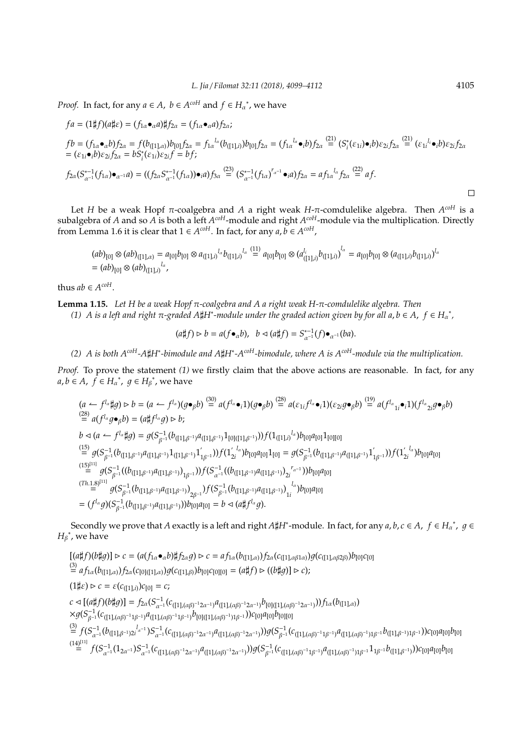*Proof.* In fact, for any  $a \in A$ ,  $b \in A^{coH}$  and  $f \in H_a^*$ , we have

$$
fa = (1 \sharp f)(a \sharp \varepsilon) = (f_{1\alpha} \bullet_{\alpha} a) \sharp f_{2\alpha} = (f_{1\alpha} \bullet_{\alpha} a) f_{2\alpha};
$$
  
\n
$$
fb = (f_{1\alpha} \bullet_{\alpha} b) f_{2\alpha} = f(b_{([1], \alpha)}) b_{[0]} f_{2\alpha} = f_{1\alpha}^{l_{\alpha}} (b_{([1], i)}) b_{[0]} f_{2\alpha} = (f_{1\alpha}^{l_{\alpha}} \bullet_{i} b) f_{2\alpha} \stackrel{(21)}{=} (S_{i}^{*} (\varepsilon_{1i}) \bullet_{i} b) \varepsilon_{2i} f_{2\alpha} \stackrel{(21)}{=} (\varepsilon_{1i}^{l_{i}} \bullet_{i} b) \varepsilon_{2i} f_{2\alpha}
$$
  
\n
$$
= (\varepsilon_{1i} \bullet_{i} b) \varepsilon_{2i} f_{2\alpha} = b S_{i}^{*} (\varepsilon_{1i}) \varepsilon_{2i} f = b f;
$$
  
\n
$$
f_{2\alpha} (S_{\alpha^{-1}}^{*-1} (f_{1\alpha}) \bullet_{\alpha^{-1}} a) = ((f_{2\alpha} S_{\alpha^{-1}}^{*-1} (f_{1\alpha})) \bullet_{i} a) f_{3\alpha} \stackrel{(23)}{=} (S_{\alpha^{-1}}^{*-1} (f_{1\alpha})^{r_{\alpha^{-1}}} \bullet_{i} a) f_{2\alpha} = af_{1\alpha}^{l_{\alpha}} f_{2\alpha} \stackrel{(22)}{=} af.
$$

Let *H* be a weak Hopf π-coalgebra and *A* a right weak *H*-π-comdulelike algebra. Then *A coH* is a subalgebra of *A* and so *A* is both a left *A<sup>coH</sup>-*module and right *A<sup>coH</sup>-*module via the multiplication. Directly from Lemma 1.6 it is clear that  $1 \in A^{coH}$ . In fact, for any  $a, b \in A^{coH}$ ,

$$
(ab)_{[0]} \otimes (ab)_{([1],\alpha)} = a_{[0]}b_{[0]} \otimes a_{([1],i)}^{l_{\alpha}} b_{([1],i)}^{l_{\alpha}} \stackrel{(11)}{=} a_{[0]}b_{[0]} \otimes (a_{([1],i)}^{l_i} b_{([1],i)})^{l_{\alpha}} = a_{[0]}b_{[0]} \otimes (a_{([1],i)}b_{([1],i)})^{l_{\alpha}}
$$
  
=  $(ab)_{[0]} \otimes (ab)_{([1],i)}^{l_{\alpha}}$ 

thus  $ab \in A^{coH}$ .

**Lemma 1.15.** *Let H be a weak Hopf* π*-coalgebra and A a right weak H-*π*-comdulelike algebra. Then (1) A* is a left and right π-graded A\H+ -module under the graded action given by for all a, b ∈ A, f ∈ H<sub>α</sub><sup>\*</sup>,

$$
(a\sharp f)\rhd b=a(f\bullet_\alpha b),\ \ b\lhd (a\sharp f)=S_{\alpha^{-1}}^{*-1}(f)\bullet_{\alpha^{-1}}(ba).
$$

*(2) A is both AcoH-A*]*H*<sup>∗</sup> *-bimodule and A*]*H*<sup>∗</sup> *-AcoH-bimodule, where A is AcoH-module via the multiplication.*

*Proof.* To prove the statement (1) we firstly claim that the above actions are reasonable. In fact, for any  $a, b \in A$ ,  $f \in H_{\alpha}^*$ ,  $g \in H_{\beta}^*$ , we have

$$
(a \leftarrow f^{l_{\alpha}}\sharp g) \rhd b = (a \leftarrow f^{l_{\alpha}})(g\bullet_{\beta}b) \stackrel{(30)}{=} a(f^{l_{\alpha}}\bullet_{i}1)(g\bullet_{\beta}b) \stackrel{(28)}{=} a(\varepsilon_{1i}f^{l_{\alpha}}\bullet_{i}1)(\varepsilon_{2i}g\bullet_{\beta}b) \stackrel{(19)}{=} a(f^{l_{\alpha}}_{1i}\bullet_{i}1)(f^{l_{\alpha}}_{2i}g\bullet_{\beta}b)
$$
  
\n
$$
(28) \ a(f^{l_{\alpha}}g\bullet_{\beta}b) = (a\sharp f^{l_{\alpha}}g) \rhd b;
$$
  
\n
$$
b \lhd (a \leftarrow f^{l_{\alpha}}\sharp g) = g(S_{\beta^{-1}}^{-1}(b_{([1],\beta^{-1})}a_{([1],\beta^{-1})}1_{[0]([1],\beta^{-1})}))f(1_{([1],i)}^{l_{\alpha}})b_{[0]}a_{[0]}1_{[0][0]}
$$
  
\n
$$
(\stackrel{(15)}{=} g(S_{\beta^{-1}}^{-1}(b_{([1],\beta^{-1})}a_{([1],\beta^{-1})}1_{([1],\beta^{-1})})f(1_{2i}^{l_{\alpha}})b_{[0]}a_{[0]}1_{[0]} = g(S_{\beta^{-1}}^{-1}(b_{([1],\beta^{-1})}1_{[1,\beta^{-1})}1_{[1,\beta^{-1})})f(1_{2i}^{l_{\alpha}})b_{[0]}a_{[0]}
$$
  
\n
$$
= g(S_{\beta^{-1}}^{-1}((b_{([1],\beta^{-1})}a_{([1],\beta^{-1})})_{1\beta^{-1}}))f(S_{\alpha^{-1}}^{-1}((b_{([1],\beta^{-1})}a_{([1],\beta^{-1})})_{2i}^{l_{\alpha}-1}))b_{[0]}a_{[0]}
$$
  
\n
$$
= (f^{l_{\alpha}}g)(S_{\beta^{-1}}^{-1}(b_{([1],\beta^{-1})}a_{([1],\beta^{-1})}))b_{[0]}a_{[0]} = b \lhd (a\sharp f^{l_{\alpha}}g).
$$

Secondly we prove that *A* exactly is a left and right *A\*#H<sup>\*</sup>-module. In fact, for any *a*, *b*, *c* ∈ *A*, *f* ∈ *H*<sub>α</sub><sup>\*</sup>, *g* ∈  $H_{\beta}^*$ , we have

 $[(a \sharp f)(b \sharp g)] \rhd c = (a(f_{1\alpha} \bullet_{\alpha} b) \sharp f_{2\alpha} g) \rhd c = af_{1\alpha}(b_{([1], \alpha)} )f_{2\alpha}(c_{([1], \alpha \beta 1\alpha)}) g(c_{([1], \alpha \beta 2\beta)}) b_{[0]} c_{[0]}$  $\stackrel{(3)}{=} af_{1\alpha}(b_{([1],\alpha)})f_{2\alpha}(c_{[0]([1],\alpha)})g(c_{([1],\beta)})b_{[0]}c_{[0][0]} = (a\sharp f) \triangleright ((b\sharp g)] \triangleright c);$  $(1 \sharp \varepsilon) \triangleright c = \varepsilon (c_{([1],i)}) c_{[0]} = c;$  $c \lhd [(a \sharp f)(b \sharp g)] = f_{2\alpha}(S_{\alpha^{-1}}^{-1}(c_{([1],(\alpha\beta)^{-1}2\alpha^{-1})}a_{([1],(\alpha\beta)^{-1}2\alpha^{-1})}b_{[0][[1],(\alpha\beta)^{-1}2\alpha^{-1})}))f_{1\alpha}(b_{([1],\alpha)})$  $\times g(S_{\beta^{-1}}^{-1}(c_{([1],(\alpha\beta)^{-1}1\beta^{-1})}a_{([1],(\alpha\beta)^{-1}1\beta^{-1})}b_{[0]([1],(\alpha\beta)^{-1})1\beta^{-1}}))c_{[0]}a_{[0]}b_{[0][0]}$  $\stackrel{(3)}{=} f(S_{\alpha^{-1}}^{-1}(b_{([1],\beta^{-1})2i}^{l_{\alpha^{-1}}})S_{\alpha^{-1}}^{-1}(c_{([1],(\alpha\beta)^{-1}2\alpha^{-1})}a_{([1],(\alpha\beta)^{-1}2\alpha^{-1})}))g(S_{\beta^{-1}}^{-1}(c_{([1],(\alpha\beta)^{-1}1\beta^{-1})}a_{([1],(\alpha\beta)^{-1})1\beta^{-1}}b_{([1],\beta^{-1})1\beta^{-1}}))c_{[0]}a_{[0]}b_{[0]}$  $\stackrel{(14)^{[11]}}{=} f(S_{\alpha^{-1}}^{-1}(1_{2\alpha^{-1}})S_{\alpha^{-1}}^{-1}(c_{([1],(\alpha\beta)^{-1}2\alpha^{-1})}a_{([1],(\alpha\beta)^{-1}2\alpha^{-1})}))g(S_{\beta^{-1}}^{-1}(c_{([1],(\alpha\beta)^{-1}1\beta^{-1}})a_{([1],(\alpha\beta)^{-1})1\beta^{-1}}1_{1\beta^{-1}}b_{([1],\beta^{-1})}))c_{[0]}a_{[0]}b_{[0]}$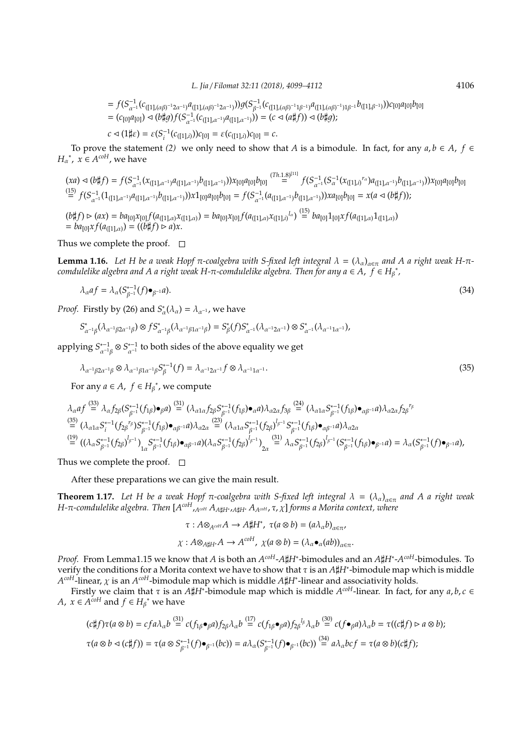$$
= f(S_{\alpha^{-1}}^{-1}(c_{([1],(\alpha\beta)^{-1}2\alpha^{-1})}a_{([1],(\alpha\beta)^{-1}2\alpha^{-1})})g(S_{\beta^{-1}}^{-1}(c_{([1],(\alpha\beta)^{-1}1\beta^{-1})}a_{([1],(\alpha\beta)^{-1})1\beta^{-1}}b_{([1],\beta^{-1})})c_{[0]}a_{[0]}b_{[0]} = (c_{[0]}a_{[0]}) \lhd (b\sharp g)f(S_{\alpha^{-1}}^{-1}(c_{([1],\alpha^{-1})}a_{([1],\alpha^{-1})})) = (c \lhd (a\sharp f)) \lhd (b\sharp g);
$$

$$
c \lhd (1 \sharp \varepsilon) = \varepsilon (S_i^{-1} (c_{([1],i)})) c_{[0]} = \varepsilon (c_{([1],i)}) c_{[0]} = c.
$$

To prove the statement *(2)* we only need to show that *A* is a bimodule. In fact, for any  $a, b \in A$ ,  $f \in$ *H*<sub>a</sub><sup>\*</sup>,  $x \in A^{coH}$ , we have

$$
(xa) \lhd (b \sharp f) = f(S_{\alpha^{-1}}^{-1}(x_{([1], \alpha^{-1})}a_{([1], \alpha^{-1})}b_{([1], \alpha^{-1})}))x_{[0]}a_{[0]}b_{[0]} \xrightarrow{(Th.1.8)^{[11]}} f(S_{\alpha^{-1}}^{-1}(x_{([1], i)}^{T_a})a_{([1], \alpha^{-1})}b_{([1], \alpha^{-1})}))x_{[0]}a_{[0]}b_{[0]}
$$
\n
$$
\stackrel{(15)}{=} f(S_{\alpha^{-1}}^{-1}(1_{([1], \alpha^{-1})}a_{([1], \alpha^{-1})}b_{([1], \alpha^{-1})}))x1_{[0]}a_{[0]}b_{[0]} = f(S_{\alpha^{-1}}^{-1}(a_{([1], \alpha^{-1})}b_{([1], \alpha^{-1})}))xa_{[0]}b_{[0]} = x(a \lhd (b \sharp f));
$$
\n
$$
(b \sharp f) \rhd (ax) = ba_{[0]}x_{[0]}f(a_{([1], \alpha)}x_{([1], \alpha)}) = ba_{[0]}x_{[0]}f(a_{([1], \alpha)}x_{([1], i)}^{T_a}) \stackrel{(15)}{=} ba_{[0]}1_{[0]}xf(a_{([1], \alpha)}1_{([1], \alpha)})
$$
\n
$$
= ba_{[0]}xf(a_{([1], \alpha)}) = ((b \sharp f) \rhd a)x.
$$

Thus we complete the proof.  $\square$ 

**Lemma 1.16.** Let H be a weak Hopf  $\pi$ -coalgebra with S-fixed left integral  $\lambda = (\lambda_\alpha)_{\alpha \in \pi}$  and A a right weak H- $\pi$  $f$  *comdulelike algebra and A a right weak H-* $\pi$ *-comdulelike algebra. Then for any a*  $\in$  *A,*  $f$  $\in$  *H* $_\beta$  $^*$ *,* 

$$
\lambda_{\alpha}af = \lambda_{\alpha}(S_{\beta^{-1}}^{*-1}(f)\bullet_{\beta^{-1}}a). \tag{34}
$$

*Proof.* Firstly by (26) and  $S^*_{\alpha}(\lambda_{\alpha}) = \lambda_{\alpha^{-1}}$ , we have

$$
S^*_{\alpha^{-1}\beta}(\lambda_{\alpha^{-1}\beta 2\alpha^{-1}\beta}) \otimes fS^*_{\alpha^{-1}\beta}(\lambda_{\alpha^{-1}\beta 1\alpha^{-1}\beta}) = S^*_{\beta}(f)S^*_{\alpha^{-1}}(\lambda_{\alpha^{-1}2\alpha^{-1}}) \otimes S^*_{\alpha^{-1}}(\lambda_{\alpha^{-1}1\alpha^{-1}}),
$$

applying  $S_{\alpha^{-1}\beta}^{*-1}\otimes S_{\alpha^{-1}}^{*-1}$  to both sides of the above equality we get

$$
\lambda_{\alpha^{-1}\beta 2\alpha^{-1}\beta} \otimes \lambda_{\alpha^{-1}\beta 1\alpha^{-1}\beta} S_{\beta}^{*-1}(f) = \lambda_{\alpha^{-1}2\alpha^{-1}} f \otimes \lambda_{\alpha^{-1}1\alpha^{-1}}.
$$
\n(35)

For any  $a \in A$ ,  $f \in H_{\beta}^*$ , we compute

$$
\lambda_{\alpha}af \stackrel{(33)}{=} \lambda_{\alpha}f_{2\beta}(S_{\beta^{-1}}^{*-1}(f_{1\beta})\bullet_{\beta}a) \stackrel{(31)}{=} (\lambda_{\alpha1\alpha}f_{2\beta}S_{\beta^{-1}}^{*-1}(f_{1\beta})\bullet_{\alpha}a)\lambda_{\alpha2\alpha}f_{3\beta} \stackrel{(24)}{=} (\lambda_{\alpha1\alpha}S_{\beta^{-1}}^{*-1}(f_{1\beta})\bullet_{\alpha\beta^{-1}}a)\lambda_{\alpha2\alpha}f_{2\beta}^{r_{\beta}}
$$
\n
$$
\stackrel{(35)}{=} (\lambda_{\alpha1\alpha}S_{\beta^{-1}}^{*-1}(f_{2\beta}^{r_{\beta}})S_{\beta^{-1}}^{*-1}(f_{1\beta})\bullet_{\alpha\beta^{-1}}a)\lambda_{\alpha2\alpha} \stackrel{(23)}{=} (\lambda_{\alpha1\alpha}S_{\beta^{-1}}^{*-1}(f_{2\beta})^{l_{\beta^{-1}}}S_{\beta^{-1}}^{*-1}(f_{1\beta})\bullet_{\alpha\beta^{-1}}a)\lambda_{\alpha2\alpha}
$$
\n
$$
\stackrel{(19)}{=} ((\lambda_{\alpha}S_{\beta^{-1}}^{*-1}(f_{2\beta})^{l_{\beta^{-1}}})_{1\alpha}S_{\beta^{-1}}^{*-1}(f_{1\beta})\bullet_{\alpha\beta^{-1}}a)(\lambda_{\alpha}S_{\beta^{-1}}^{*-1}(f_{2\beta})^{l_{\beta^{-1}}})_{2\alpha} \stackrel{(31)}{=} \lambda_{\alpha}S_{\beta^{-1}}^{*-1}(f_{2\beta})^{l_{\beta^{-1}}}(\sum_{\beta^{-1}}^{*-1}(f_{1\beta})\bullet_{\beta^{-1}}a) = \lambda_{\alpha}(S_{\beta^{-1}}^{*-1}(f)\bullet_{\beta^{-1}}a),
$$

Thus we complete the proof.  $\square$ 

After these preparations we can give the main result.

**Theorem 1.17.** Let H be a weak Hopf  $\pi$ -coalgebra with S-fixed left integral  $\lambda = (\lambda_\alpha)_{\alpha \in \pi}$  and A a right weak *H-*π*-comdulelike algebra. Then* [*A coH*,*AcoH AA*]*H*<sup>∗</sup> ,*A*]*H*<sup>∗</sup> *AAcoH* , τ, χ] *forms a Morita context, where*

$$
\tau: A \otimes_{A^{coH}} A \to A \sharp H^*, \ \tau(a \otimes b) = (a \lambda_{\alpha} b)_{\alpha \in \pi},
$$
  

$$
\chi: A \otimes_{A \sharp H^*} A \to A^{coH}, \ \chi(a \otimes b) = (\lambda_{\alpha} \bullet_{\alpha} (ab))_{\alpha \in \pi}.
$$

*Proof.* From Lemma1.15 we know that *A* is both an *A*<sup>coH</sup>-A#*H*<sup>∗</sup>-bimodules and an *A*#*H*<sup>∗</sup>-*A*<sup>coH</sup>-bimodules. To verify the conditions for a Morita context we have to show that τ is an *A*‡*H*<sup>∗</sup>-bimodule map which is middle *A coH*-linear, χ is an *A coH*-bimodule map which is middle *A*]*H*<sup>∗</sup> -linear and associativity holds.

Firstly we claim that  $\tau$  is an  $A\sharp H^*$ -bimodule map which is middle  $A^{coH}$ -linear. In fact, for any  $a, b, c \in$ *A*,  $x \in A^{coH}$  and  $f \in H_{\beta}^*$  we have

$$
(c\sharp f)\tau(a\otimes b)=cf a\lambda_{\alpha}b\overset{(31)}{=}c(f_{1\beta}\bullet_{\beta}a)f_{2\beta}\lambda_{\alpha}b\overset{(17)}{=}c(f_{1\beta}\bullet_{\beta}a)f_{2\beta}^{l_{\beta}}\lambda_{\alpha}b\overset{(30)}{=}c(f\bullet_{\beta}a)\lambda_{\alpha}b=\tau((c\sharp f)\rhd a\otimes b);
$$
  

$$
\tau(a\otimes b\lhd (c\sharp f))=\tau(a\otimes S_{\beta^{-1}}^{*-1}(f)\bullet_{\beta^{-1}}(bc))=a\lambda_{\alpha}(S_{\beta^{-1}}^{*-1}(f)\bullet_{\beta^{-1}}(bc))\overset{(34)}{=}a\lambda_{\alpha}bcf=\tau(a\otimes b)(c\sharp f);
$$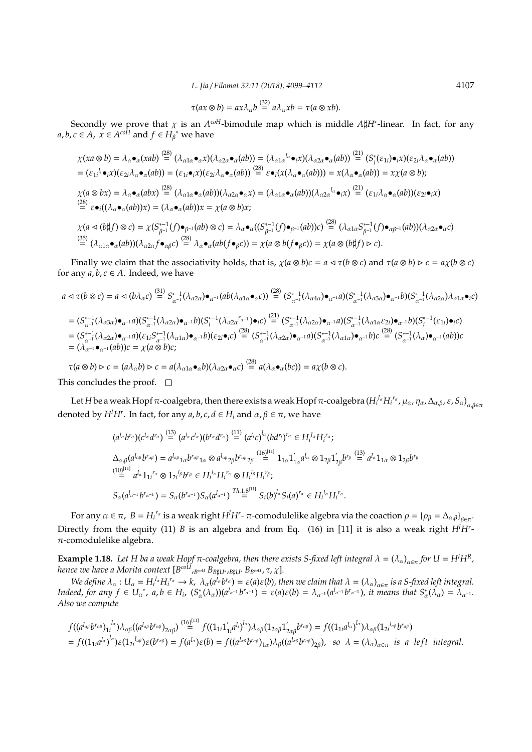*L. Jia* / *Filomat 32:11 (2018), 4099–4112* 4107

$$
\tau(ax \otimes b) = ax\lambda_{\alpha}b \stackrel{(32)}{=} a\lambda_{\alpha}xb = \tau(a \otimes xb).
$$

Secondly we prove that  $\chi$  is an  $A^{coH}$ -bimodule map which is middle  $A\sharp H^*$ -linear. In fact, for any *a*, *b*, *c* ∈ *A*,  $\overline{x}$  ∈  $A^{co^{H}}$  and  $f$  ∈  $H^{(*)}_{\beta}$  we have

$$
\chi(xa \otimes b) = \lambda_{\alpha} \bullet_{\alpha}(xab) \stackrel{(28)}{=} (\lambda_{\alpha1\alpha} \bullet_{\alpha} x)(\lambda_{\alpha2\alpha} \bullet_{\alpha}(ab)) = (\lambda_{\alpha1\alpha}^{l_{\alpha}} \bullet_{i} x)(\lambda_{\alpha2\alpha} \bullet_{\alpha}(ab)) \stackrel{(21)}{=} (S_{i}^{*}(\varepsilon_{1i}) \bullet_{i} x)(\varepsilon_{2i}\lambda_{\alpha} \bullet_{\alpha}(ab))
$$
  
\n
$$
= (\varepsilon_{1i}^{l_{i}} \bullet_{i} x)(\varepsilon_{2i}\lambda_{\alpha} \bullet_{\alpha}(ab)) = (\varepsilon_{1i} \bullet_{i} x)(\varepsilon_{2i}\lambda_{\alpha} \bullet_{\alpha}(ab)) \stackrel{(28)}{=} \varepsilon \bullet_{i} (x(\lambda_{\alpha} \bullet_{\alpha}(ab))) = x(\lambda_{\alpha} \bullet_{\alpha}(ab)) = x\chi(a \otimes b);
$$
  
\n
$$
\chi(a \otimes bx) = \lambda_{\alpha} \bullet_{\alpha}(abx) \stackrel{(28)}{=} (\lambda_{\alpha1\alpha} \bullet_{\alpha}(ab))(\lambda_{\alpha2\alpha} \bullet_{\alpha} x) = (\lambda_{\alpha1\alpha} \bullet_{\alpha}(ab))(\lambda_{\alpha2\alpha}^{l_{\alpha}} \bullet_{i} x) \stackrel{(21)}{=} (\varepsilon_{1i}\lambda_{\alpha} \bullet_{\alpha}(ab))(\varepsilon_{2i} \bullet_{i} x)
$$
  
\n
$$
\stackrel{(28)}{=} \varepsilon \bullet_{i} ((\lambda_{\alpha} \bullet_{\alpha}(ab))x) = (\lambda_{\alpha} \bullet_{\alpha}(ab))x = \chi(a \otimes b)x;
$$
  
\n
$$
\chi(a \triangleleft (b \sharp f) \otimes c) = \chi(S_{\beta^{-1}}^{*-1}(f) \bullet_{\beta^{-1}}(ab) \otimes c) = \lambda_{\alpha} \bullet_{\alpha} ((S_{\beta^{-1}}^{*-1}(f) \bullet_{\beta^{-1}}(ab))c) \stackrel{(28)}{=} (\lambda_{\alpha1\alpha} S_{\beta^{-1}}^{*-1}(f) \bullet_{\alpha\beta^{-1}}(ab))(\lambda_{\alpha2\alpha} \bullet_{\alpha} c)
$$
  
\n
$$
\stackrel{(35)}{=} (\lambda_{\alpha1\alpha} \bullet_{\alpha}(ab))(\lambda_{\alpha2\alpha} f \bullet_{\alpha\beta}
$$

Finally we claim that the associativity holds, that is,  $\chi(a \otimes b)c = a \triangleleft \tau(b \otimes c)$  and  $\tau(a \otimes b) \triangleright c = a\chi(b \otimes c)$ for any  $a, b, c \in A$ . Indeed, we have

$$
a \triangleleft \tau(b \otimes c) = a \triangleleft (b\lambda_{\alpha}c) \stackrel{(31)}{=} S_{\alpha^{-1}}^{*-1}(\lambda_{\alpha2\alpha}) \bullet_{\alpha^{-1}}(ab(\lambda_{\alpha1\alpha} \bullet_{\alpha}c)) \stackrel{(28)}{=} (S_{\alpha^{-1}}^{*-1}(\lambda_{\alpha4\alpha}) \bullet_{\alpha^{-1}}a)(S_{\alpha^{-1}}^{*-1}(\lambda_{\alpha3\alpha}) \bullet_{\alpha^{-1}}b)(S_{\alpha^{-1}}^{*-1}(\lambda_{\alpha2\alpha})\lambda_{\alpha1\alpha} \bullet_{i}c)
$$
  
\n
$$
= (S_{\alpha^{-1}}^{*-1}(\lambda_{\alpha3\alpha}) \bullet_{\alpha^{-1}}a)(S_{\alpha^{-1}}^{*-1}(\lambda_{\alpha2\alpha}) \bullet_{\alpha^{-1}}b)(S_{i}^{*-1}(\lambda_{\alpha2\alpha}r_{\alpha^{-1}}) \bullet_{i}c) \stackrel{(21)}{=} (S_{\alpha^{-1}}^{*-1}(\lambda_{\alpha2\alpha}) \bullet_{\alpha^{-1}}a)(S_{\alpha^{-1}}^{*-1}(\lambda_{\alpha1\alpha}c_{2i}) \bullet_{\alpha^{-1}}b)(S_{i}^{*-1}(\epsilon_{1i}) \bullet_{i}c)
$$
  
\n
$$
= (S_{\alpha^{-1}}^{*-1}(\lambda_{\alpha2\alpha}) \bullet_{\alpha^{-1}}a)(\epsilon_{1i}S_{\alpha^{-1}}^{*-1}(\lambda_{\alpha1\alpha}) \bullet_{\alpha^{-1}}b)(\epsilon_{2i} \bullet_{i}c) \stackrel{(28)}{=} (S_{\alpha^{-1}}^{*-1}(\lambda_{\alpha2\alpha}) \bullet_{\alpha^{-1}}a)(S_{\alpha^{-1}}^{*-1}(\lambda_{\alpha1\alpha}) \bullet_{\alpha^{-1}}b)c \stackrel{(28)}{=} (S_{\alpha^{-1}}^{*-1}(\lambda_{\alpha}) \bullet_{\alpha^{-1}}(ab))c
$$
  
\n
$$
= (\lambda_{\alpha^{-1}} \bullet_{\alpha^{-1}}(ab))c = \chi(a \otimes b)c;
$$

 $\tau(a \otimes b) \rhd c = (a\lambda_{\alpha}b) \rhd c = a(\lambda_{\alpha1\alpha} \bullet_{\alpha}b)(\lambda_{\alpha2\alpha} \bullet_{\alpha}c) \stackrel{(28)}{=} a(\lambda_{\alpha} \bullet_{\alpha}(bc)) = a\chi(b \otimes c).$ 

This concludes the proof.  $\square$ 

Let *H* be a weak Hopf π-coalgebra, then there exists a weak Hopf π-coalgebra ( $H_i^{l_\alpha}H_i^{r_\alpha}$ , μ<sub>α</sub>, η<sub>α</sub>, Δ<sub>α,β</sub>, ε, S<sub>α) α,βεπ</sub> denoted by  $H^lH^r$ . In fact, for any  $a, b, c, d \in H_i$  and  $\alpha, \beta \in \pi$ , we have

$$
(a^{l_{\alpha}}b^{r_{\alpha}})(c^{l_{\alpha}}d^{r_{\alpha}}) \stackrel{(13)}{=} (a^{l_{\alpha}}c^{l_{\alpha}})(b^{r_{\alpha}}d^{r_{\alpha}}) \stackrel{(11)}{=} (a^{l_{i}}c)^{l_{\alpha}}(bd^{r_{i}})^{r_{\alpha}} \in H_{i}^{l_{\alpha}}H_{i}^{r_{\alpha}};
$$
  
\n
$$
\Delta_{\alpha,\beta}(a^{l_{\alpha\beta}}b^{r_{\alpha\beta}}) = a^{l_{\alpha\beta}}{}_{1\alpha}b^{r_{\alpha\beta}}{}_{1\alpha} \otimes a^{l_{\alpha\beta}}{}_{2\beta}b^{r_{\alpha\beta}}{}_{2\beta} \stackrel{(16)^{[11]}}{=} 1_{1\alpha}1'_{1\alpha}a^{l_{\alpha}} \otimes 1_{2\beta}1'_{2\beta}b^{r_{\beta}} \stackrel{(13)}{=} a^{l_{\alpha}}1_{1\alpha} \otimes 1_{2\beta}b^{r_{\beta}}
$$
  
\n
$$
\stackrel{(10)^{[11]}}{=} a^{l_{\alpha}}1_{1i}^{r_{\alpha}} \otimes 1_{2i}^{l_{\beta}}b^{r_{\beta}} \in H_{i}^{l_{\alpha}}H_{i}^{r_{\alpha}} \otimes H_{i}^{l_{\beta}}H_{i}^{r_{\beta}};
$$
  
\n
$$
S_{\alpha}(a^{l_{\alpha-1}}b^{r_{\alpha-1}}) = S_{\alpha}(b^{r_{\alpha-1}})S_{\alpha}(a^{l_{\alpha-1}})^{Th} \stackrel{(11.18)}{=} S_{i}(b)^{l_{\alpha}}S_{i}(a)^{r_{\alpha}} \in H_{i}^{l_{\alpha}}H_{i}^{r_{\alpha}}.
$$

For any  $\alpha \in \pi$ ,  $B = H_i^{r_\alpha}$  is a weak right  $H^l H^r$ - $\pi$ -comodulelike algebra via the coaction  $\rho = {\rho_\beta = \Delta_{\alpha,\beta}}_{\beta \in \pi}$ . Directly from the equity (11) *B* is an algebra and from Eq. (16) in [11] it is also a weak right *H<sup>l</sup>H<sup>r</sup>* -  $\pi$ -comodulelike algebra.

**Example 1.18.** Let H ba a weak Hopf  $\pi$ -coalgebra, then there exists S-fixed left integral  $\lambda = (\lambda_\alpha)_{\alpha \in \pi}$  for  $U = H^l H^R$ , *hence we have a Morita context* [*B coU*,*BcoU BB*]*U*<sup>∗</sup> ,*B*]*U*<sup>∗</sup> *BBcoU* , τ, χ]*.*

We define  $\lambda_\alpha:U_\alpha=H_i^{l_\alpha}H_i^{r_\alpha}\to k$ ,  $\lambda_\alpha(a^{l_\alpha}b^{r_\alpha})=\varepsilon(a)\varepsilon(b)$ , then we claim that  $\lambda=(\lambda_\alpha)_{\alpha\in\pi}$  is a S-fixed left integral. Indeed, for any  $f \in U_{\alpha}^*$ ,  $a, b \in H_i$ ,  $(S_{\alpha}^*(\lambda_{\alpha}))$  $(a^{\lambda_{\alpha-1}}b^{r_{\alpha-1}}) = \varepsilon(a)\varepsilon(b) = \lambda_{\alpha^{-1}}(a^{\lambda_{\alpha-1}}b^{r_{\alpha-1}})$ , it means that  $S_{\alpha}^*(\lambda_{\alpha}) = \lambda_{\alpha^{-1}}$ . *Also we compute*

$$
f((a^{l_{\alpha\beta}}b^{r_{\alpha\beta}})_{1i}^{l_{\alpha}})\lambda_{\alpha\beta}((a^{l_{\alpha\beta}}b^{r_{\alpha\beta}})_{2\alpha\beta}) \stackrel{(16)^{[11]}}{=} f((1_{1i}1'_{1i}a^{l_{i}})^{l_{\alpha}})\lambda_{\alpha\beta}(1_{2\alpha\beta}1'_{2\alpha\beta}b^{r_{\alpha\beta}}) = f((1_{1i}a^{l_{\alpha}})^{l_{\alpha}})\lambda_{\alpha\beta}(1_{2i}^{l_{\alpha\beta}}b^{r_{\alpha\beta}})
$$
  
=  $f((1_{1i}a^{l_{\alpha}})^{l_{\alpha}})\epsilon(1_{2i}^{l_{\alpha\beta}})\epsilon(b) = f((a^{l_{\alpha\beta}}b^{r_{\alpha\beta}})_{1\alpha})\lambda_{\beta}((a^{l_{\alpha\beta}}b^{r_{\alpha\beta}})_{2\beta}),$  so  $\lambda = (\lambda_{\alpha})_{\alpha\in\pi}$  is a left integral.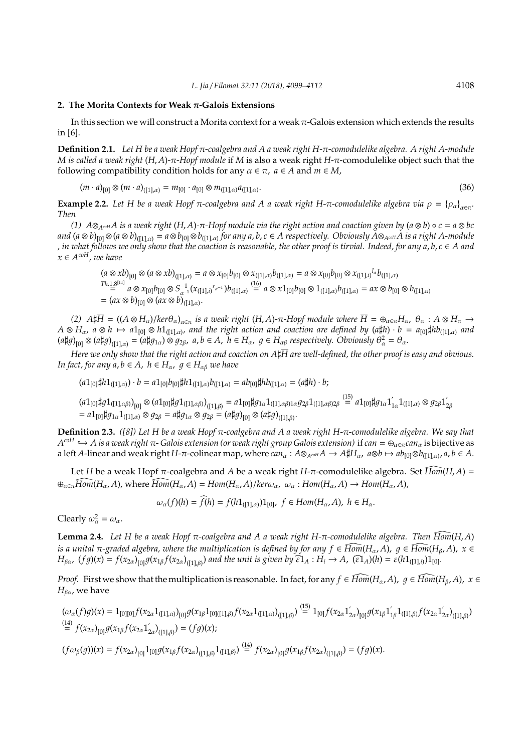#### **2. The Morita Contexts for Weak** π**-Galois Extensions**

In this section we will construct a Morita context for a weak  $\pi$ -Galois extension which extends the results in [6].

**Definition 2.1.** *Let H be a weak Hopf* π*-coalgebra and A a weak right H-*π*-comodulelike algebra. A right A-module M is called a weak right* (*H*, *A*)*-*π*-Hopf module* if *M* is also a weak right *H*-π-comodulelike object such that the following compatibility condition holds for any  $\alpha \in \pi$ ,  $a \in A$  and  $m \in M$ ,

$$
(m \cdot a)_{[0]} \otimes (m \cdot a)_{([1],\alpha)} = m_{[0]} \cdot a_{[0]} \otimes m_{([1],\alpha)} a_{([1],\alpha)}.
$$
\n(36)

**Example 2.2.** Let H be a weak Hopf  $\pi$ -coalgebra and A a weak right H- $\pi$ -comodulelike algebra via  $\rho = {\rho_\alpha}_{\alpha \in \pi}$ . *Then*

*(1)*  $A \otimes_{A^{coH}} A$  is a weak right  $(H, A)$ - $\pi$ -Hopf module via the right action and coaction given by  $(a \otimes b) \circ c = a \otimes bc$ and (a  $\otimes$  b)<sub>[0]</sub>  $\otimes$  (a  $\otimes$  b)<sub>([1],a)</sub> = a  $\otimes$  b<sub>[0]</sub>  $\otimes$  b<sub>([1],a)</sub> for any a, b, c  $\in$  A respectively. Obviously A $\otimes_{A^{coH}}$ A is a right A-module *, in what follows we only show that the coaction is reasonable, the other proof is tirvial. Indeed, for any a*, *b*, *c* ∈ *A and x* ∈ *A coH, we have*

$$
(a \otimes xb)_{[0]} \otimes (a \otimes xb)_{([1],\alpha)} = a \otimes x_{[0]}b_{[0]} \otimes x_{([1],\alpha)}b_{([1],\alpha)} = a \otimes x_{[0]}b_{[0]} \otimes x_{([1],i)}^{l_a}b_{([1],\alpha)}
$$
  
\n
$$
T^{h.1.8^{[11]}} = a \otimes x_{[0]}b_{[0]} \otimes S^{-1}_{\alpha^{-1}}(x_{([1],i)}^{l_a}a^{-1})b_{([1],\alpha)} \stackrel{(16)}{=} a \otimes x1_{[0]}b_{[0]} \otimes 1_{([1],\alpha)}b_{([1],\alpha)} = ax \otimes b_{[0]} \otimes b_{([1],\alpha)}
$$
  
\n
$$
= (ax \otimes b)_{[0]} \otimes (ax \otimes b)_{([1],\alpha)}.
$$

 $(A \otimes H_{\alpha})$ /ker $\theta_{\alpha}$ <sub>λα∈π</sub> is a weak right (*H*, *A*)-π-Hopf module where  $\overline{H} = \oplus_{\alpha \in \pi} H_{\alpha}$ ,  $\theta_{\alpha}$  : *A* ⊗  $H_{\alpha}$  →  $A \otimes H_\alpha$ ,  $a \otimes h \mapsto a1_{[0]} \otimes h1_{([1],\alpha)}$ , and the right action and coaction are defined by  $(a\sharp h) \cdot b = a_{[0]}\sharp hb_{([1],\alpha)}$  and  $(a\sharp g)_{[0]} \otimes (a\sharp g)_{([1],\alpha)} = (a\sharp g_{1\alpha}) \otimes g_{2\beta}, \ a,b \in A, \ h \in H_\alpha, \ g \in H_{\alpha\beta}$  respectively. Obviously  $\theta_\alpha^2 = \theta_\alpha$ .

*Here we only show that the right action and coaction on*  $A\sharp\overline{H}$  *are well-defined, the other proof is easy and obvious. In fact, for any a, b*  $\in$  *A, h*  $\in$  *H<sub>α</sub>, g*  $\in$  *H<sub>αβ</sub> we have* 

 $(a1_{[0]}\sharp h1_{([1],\alpha)}) \cdot b = a1_{[0]}\flat_{[0]}\sharp h1_{([1],\alpha)}\flat_{([1],\alpha)} = ab_{[0]}\sharp h1_{([1],\alpha)} = (a\sharp h) \cdot b;$ 

 $(a1_{[0]}\sharp g1_{([1],\alpha\beta)})_{[0]}\otimes (a1_{[0]}\sharp g1_{([1],\alpha\beta)})_{([1],\beta)}=a1_{[0]}\sharp g_{1\alpha}1_{([1],\alpha\beta)1\alpha}g_{2\beta}1_{([1],\alpha\beta)2\beta}\overset{(15)}{=}a1_{[0]}\sharp g_{1\alpha}1_{[1],\alpha\beta}$  $y'_{1\alpha}1_{([1],\alpha)} \otimes g_{2\beta}1'_{2\alpha}$ 2β  $= a1_{[0]}\sharp g_{1\alpha}1_{([1],\alpha)} \otimes g_{2\beta} = a\sharp g_{1\alpha} \otimes g_{2\beta} = (a\sharp g)_{[0]} \otimes (a\sharp g)_{([1],\beta)}.$ 

**Definition 2.3.** *([8]) Let H be a weak Hopf* π*-coalgebra and A a weak right H-*π*-comodulelike algebra. We say that A coH* ,→ *A is a weak right* π*- Galois extension (or weak right group Galois extension)* if *can* = ⊕α∈π*can*<sup>α</sup> is bijective as a left *A*-linear and weak right *H*- $\pi$ -colinear map, where  $can_\alpha$ :  $A \otimes_{A^{coH}} A \to A \sharp H_\alpha$ ,  $a \otimes b \mapsto ab_{[0]} \otimes b_{([1],\alpha)}$ ,  $a, b \in A$ .

Let *H* be a weak Hopf π-coalgebra and *A* be a weak right *H*-π-comodulelike algebra. Set  $\widehat{Hom}(H, A)$  =  $\bigoplus_{\alpha \in \pi} \widehat{Hom}(H_{\alpha}, A)$ , where  $\widehat{Hom}(H_{\alpha}, A) = Hom(H_{\alpha}, A)/\text{ker}\omega_{\alpha}$ ,  $\omega_{\alpha} : Hom(H_{\alpha}, A) \to Hom(H_{\alpha}, A)$ ,

$$
\omega_{\alpha}(f)(h) = \widehat{f}(h) = f(h1_{([1],\alpha)})1_{[0]}, \ f \in Hom(H_{\alpha}, A), \ h \in H_{\alpha}.
$$

Clearly  $\omega_{\alpha}^2 = \omega_{\alpha}$ .

**Lemma 2.4.** *Let H be a weak Hopf* <sup>π</sup>*-coalgebra and A a weak right H-*π*-comodulelike algebra. Then Hom* [(*H*, *<sup>A</sup>*) *is a unital*  $\pi$ -graded algebra, where the multiplication is defined by for any  $f \in \widehat{Hom}(H_\alpha, A)$ ,  $q \in \widehat{Hom}(H_\beta, A)$ ,  $x \in$  $H_{\beta\alpha}$ ,  $(fg)(x) = f(x_{2\alpha})_{[0]}g(x_{1\beta}f(x_{2\alpha})_{([1],\beta)})$  and the unit is given by  $\widehat{\epsilon 1}_A : H_i \to A$ ,  $(\widehat{\epsilon 1}_A)(h) = \epsilon (h1_{([1],i)})1_{[0]}$ .

*Proof.* First we show that the multiplication is reasonable. In fact, for any  $f \in \widehat{Hom}(H_\alpha, A)$ ,  $g \in \widehat{Hom}(H_\beta, A)$ ,  $x \in$  $H_{\beta\alpha}$ , we have

$$
(\omega_{\alpha}(f)g)(x) = 1_{[0][0]}f(x_{2\alpha}1_{([1],\alpha)})_{[0]}g(x_{1\beta}1_{[0][(1],\beta)}f(x_{2\alpha}1_{([1],\alpha)})_{[1],\beta}) \stackrel{(15)}{=} 1_{[0]}f(x_{2\alpha}1'_{2\alpha})_{[0]}g(x_{1\beta}1'_{1\beta}1_{([1],\beta)}f(x_{2\alpha}1'_{2\alpha})_{([1],\beta)})
$$
  
\n
$$
\stackrel{(14)}{=} f(x_{2\alpha})_{[0]}g(x_{1\beta}f(x_{2\alpha}1'_{2\alpha})_{([1],\beta)}) = (fg)(x);
$$
  
\n
$$
(f\omega_{\beta}(g))(x) = f(x_{2\alpha})_{[0]}1_{[0]}g(x_{1\beta}f(x_{2\alpha})_{([1],\beta)}1_{([1],\beta)}) \stackrel{(14)}{=} f(x_{2\alpha})_{[0]}g(x_{1\beta}f(x_{2\alpha})_{([1],\beta)}) = (fg)(x).
$$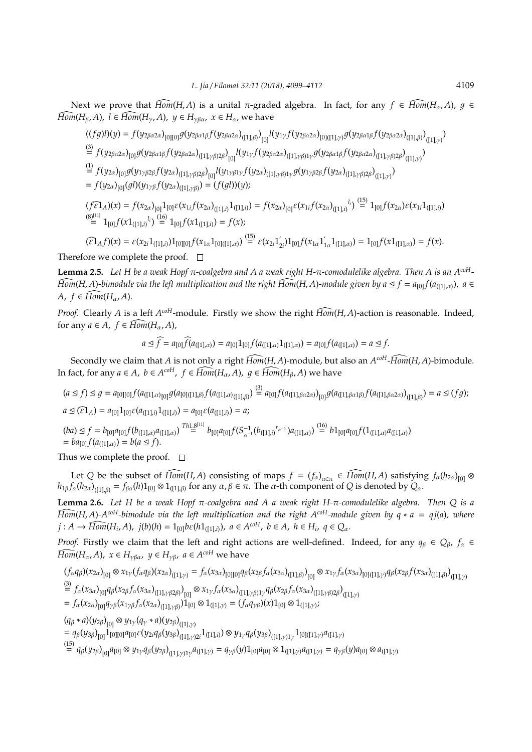Next we prove that  $\widehat{Hom}(H, A)$  is a unital π-graded algebra. In fact, for any  $f \in \widehat{Hom}(H_{\alpha}, A)$ ,  $q \in$  $\widehat{Hom}(H_{\beta}, A)$ ,  $l \in \widehat{Hom}(H_{\gamma}, A)$ ,  $y \in H_{\gamma\beta\alpha}$ ,  $x \in H_{\alpha}$ , we have

$$
\begin{split}\n&((fg)l)(y) = f(y_{2\beta\alpha2\alpha})_{[0][0]}g(y_{2\beta\alpha1\beta}f(y_{2\beta\alpha2\alpha})_{([1],\beta)})_{[0]}l(y_{1\gamma}f(y_{2\beta\alpha2\alpha})_{[0][(1],\gamma)}g(y_{2\beta\alpha1\beta}f(y_{2\beta\alpha2\alpha})_{([1],\beta)})_{([1],\gamma)} \\
&= f(y_{2\beta\alpha2\alpha})_{[0]}g(y_{2\beta\alpha1\beta}f(y_{2\beta\alpha2\alpha})_{([1],\gamma\beta)2\beta})_{[0]}l(y_{1\gamma}f(y_{2\beta\alpha2\alpha})_{([1],\gamma\beta)1\gamma}g(y_{2\beta\alpha1\beta}f(y_{2\beta\alpha2\alpha})_{([1],\gamma\beta)2\beta})_{([1],\gamma)} \\
&= f(y_{2\alpha})_{[0]}g(y_{1\gamma\beta2\beta}f(y_{2\alpha})_{([1],\gamma\beta)2\beta})_{[0]}l(y_{1\gamma\beta1\gamma}f(y_{2\alpha})_{([1],\gamma\beta)1\gamma}g(y_{1\gamma\beta2\beta}f(y_{2\alpha})_{([1],\gamma\beta)2\beta})_{([1],\gamma)} \\
&= f(y_{2\alpha})_{[0]}(g l)(y_{1\gamma\beta}f(y_{2\alpha})_{([1],\gamma\beta)}) = (f(g l))(y); \\
&(f \hat{\epsilon} 1_A)(x) = f(x_{2\alpha})_{[0]}1_{[0]} \epsilon(x_{1i}f(x_{2\alpha})_{([1],i)}1_{([1],i)}) = f(x_{2\alpha})_{[0]} \epsilon(x_{1i}f(x_{2\alpha})_{([1],i)}1_{[1],i}) \stackrel{(15)}{=} 1_{[0]}f(x_{2\alpha})\epsilon(x_{1i}1_{([1],i)} \\
&= 1_{[0]}f(x1_{([1],i)}1_{i}) \stackrel{(16)}{=} 1_{[0]}f(x1_{([1],i)}) = f(x);\n\end{split}
$$

$$
(\widehat{\epsilon 1}_A f)(x) = \epsilon (x_{2i} 1_{([1],i)}) 1_{[0][0]} f(x_{1\alpha} 1_{[0][1],\alpha)}) \stackrel{(15)}{=} \epsilon (x_{2i} 1'_{2i}) 1_{[0]} f(x_{1\alpha} 1'_{1\alpha} 1_{([1],\alpha)}) = 1_{[0]} f(x 1_{([1],\alpha)}) = f(x).
$$

Therefore we complete the proof.  $\Box$ 

**Lemma 2.5.** *Let H be a weak Hopf* π*-coalgebra and A a weak right H-*π*-comodulelike algebra. Then A is an AcoH-* $Hom(H, A)$ -bimodule via the left multiplication and the right  $Hom(H, A)$ -module given by  $a \leq f = a_{[0]} f(a_{[1], \alpha)}$ ,  $a \in$  $A, f \in \widehat{Hom}(H_\alpha, A)$ .

*Proof.* Clearly *A* is a left *A*<sup>*coH*</sup>-module. Firstly we show the right  $\widehat{Hom}(H, A)$ -action is reasonable. Indeed, for any  $a \in A$ ,  $f \in \widehat{Hom}(H_\alpha, A)$ ,

$$
a \trianglelefteq \widehat{f} = a_{[0]}\widehat{f}(a_{([1],\alpha)}) = a_{[0]}1_{[0]}f(a_{([1],\alpha)}1_{([1],\alpha)}) = a_{[0]}f(a_{([1],\alpha)}) = a \trianglelefteq f.
$$

Secondly we claim that *<sup>A</sup>* is not only a right *Hom* [(*H*, *<sup>A</sup>*)-module, but also an *<sup>A</sup> coH*-*Hom* [(*H*, *<sup>A</sup>*)-bimodule. In fact, for any  $a \in A$ ,  $b \in A^{coH}$ ,  $f \in \widetilde{Hom}(H_\alpha, A)$ ,  $g \in \widetilde{Hom}(H_\beta, A)$  we have

 $(a \trianglelefteq f) \trianglelefteq g = a_{[0][0]} f(a_{([1], \alpha)_{[0]}} g(a_{[0][1], \beta)} f(a_{([1], \alpha)_{([1], \beta)}}) \stackrel{(3)}{=} a_{[0]} f(a_{([1], \beta \alpha 2\alpha)})_{[0]} g(a_{([1], \beta \alpha 1\beta)} f(a_{([1], \beta \alpha 2\alpha)})_{([1], \beta)}) = a \trianglelefteq (fg);$  $a \leq (\widehat{\epsilon_1}_A) = a_{[0]}1_{[0]}\epsilon(a_{([1],i)}1_{([1],i)}) = a_{[0]}\epsilon(a_{([1],i)}) = a;$ 

 $(ba) \leq f = b_{[0]}a_{[0]}f(b_{([1],\alpha)}a_{([1],\alpha)}) \stackrel{Th1.8^{[11]}}{=} b_{[0]}a_{[0]}f(S_{\alpha^{-1}}^{-1}(b_{([1],i)}^{r_{\alpha^{-1}}})a_{([1],\alpha)}) \stackrel{(16)}{=} b1_{[0]}a_{[0]}f(1_{([1],\alpha)}a_{([1],\alpha)})$  $= ba_{[0]} f(a_{([1],\alpha)}) = b(a \leq f).$ 

Thus we complete the proof.  $\square$ 

Let *Q* be the subset of  $\widehat{Hom}(H, A)$  consisting of maps  $f = (f_\alpha)_{\alpha \in \pi} \in \widehat{Hom}(H, A)$  satisfying  $f_\alpha(h_{2\alpha})_{[0]} \otimes$  $h_{1\beta} f_\alpha(h_{2\alpha})_{([1],\beta)} = f_{\beta\alpha}(h)1_{[0]} \otimes 1_{([1],\beta)}$  for any  $\alpha, \beta \in \pi$ . The  $\alpha$ -th component of *Q* is denoted by  $Q_\alpha$ .

**Lemma 2.6.** *Let H be a weak Hopf* π*-coalgebra and A a weak right H-*π*-comodulelike algebra. Then Q is a*  $\widehat{Hom}(H, A)$ - $A^{coH}$ -bimodule via the left multiplication and the right  $A^{coH}$ -module given by  $q * a = qj(a)$ *, where*  $j: A \to \widehat{Hom}(H_i, A), j(b)(h) = 1_{[0]}b\varepsilon(h1_{([1],i)}), a \in A^{coH}, b \in A, h \in H_i, q \in Q_{\alpha}.$ 

*Proof.* Firstly we claim that the left and right actions are well-defined. Indeed, for any  $q_\beta \in Q_\beta$ ,  $f_\alpha \in$  $\widehat{Hom}(H_{\alpha}, A)$ ,  $x \in H_{\gamma\beta\alpha}$ ,  $y \in H_{\gamma\beta}$ ,  $a \in A^{coH}$  we have

$$
\begin{split} & (f_{\alpha}q_{\beta})(x_{2\alpha})_{[0]} \otimes x_{1\gamma}(f_{\alpha}q_{\beta})(x_{2\alpha})_{([1],\gamma)} = f_{\alpha}(x_{3\alpha})_{[0][0]} q_{\beta}(x_{2\beta}f_{\alpha}(x_{3\alpha})_{([1],\beta)})_{[0]} \otimes x_{1\gamma}f_{\alpha}(x_{3\alpha})_{[0][(1],\gamma)} q_{\beta}(x_{2\beta}f(x_{3\alpha})_{([1],\beta)})_{([1],\gamma)} \\ & \stackrel{(3)}{=} f_{\alpha}(x_{3\alpha})_{[0]} q_{\beta}(x_{2\beta}f_{\alpha}(x_{3\alpha})_{([1],\gamma\beta 2\beta)})_{[0]} \otimes x_{1\gamma}f_{\alpha}(x_{3\alpha})_{([1],\gamma\beta)1\gamma} q_{\beta}(x_{2\beta}f_{\alpha}(x_{3\alpha})_{([1],\gamma\beta)2\beta})_{([1],\gamma)} \\ & = f_{\alpha}(x_{2\alpha})_{[0]} q_{\gamma\beta}(x_{1\gamma\beta}f_{\alpha}(x_{2\alpha})_{([1],\gamma\beta)})1_{[0]} \otimes 1_{([1],\gamma)} = (f_{\alpha}q_{\gamma\beta})(x)1_{[0]} \otimes 1_{([1],\gamma)}; \end{split}
$$

 $(q_\beta * a) (y_{2\beta})_{[0]} \otimes y_{1\gamma} (q_\gamma * a) (y_{2\beta})_{([1], \gamma)}$ 

 $= q_\beta(y_{3\beta})_{[0]} 1_{[0][0]} a_{[0]}\varepsilon(y_{2i}q_\beta(y_{3\beta})_{([1],\gamma)2i} (1_{[[1],i]}) \otimes y_{1\gamma}q_\beta(y_{3\beta})_{([1],\gamma)1\gamma} 1_{[0]([1],\gamma)} a_{([1],\gamma)}$ 

 $\begin{aligned} \mathcal{L}^{(15)}_{1} = q_{\beta}(y_{2\beta})_{[0]} a_{[0]} \otimes y_{1\gamma} q_{\beta}(y_{2\beta})_{([1],\gamma)1\gamma} a_{([1],\gamma)} = q_{\gamma\beta}(y) 1_{[0]} a_{[0]} \otimes 1_{([1],\gamma)} a_{([1],\gamma)} = q_{\gamma\beta}(y) a_{[0]} \otimes a_{([1],\gamma)} \end{aligned}$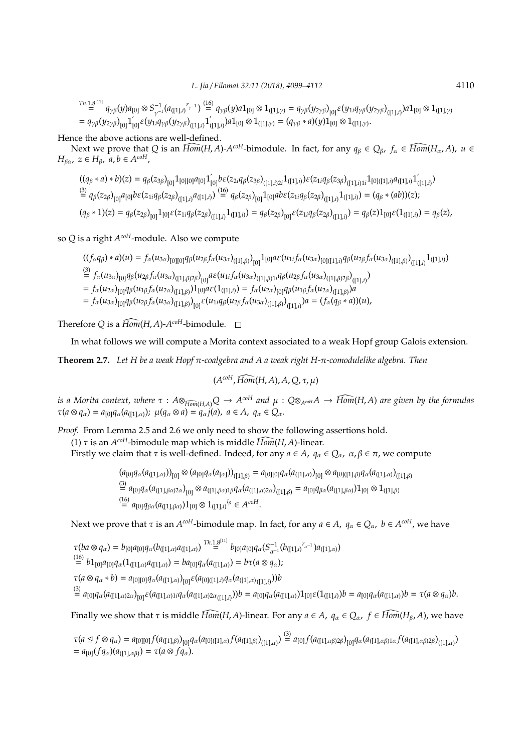$T^{h.1,8^{[11]}}_{\phantom{1244}=\phantom{1244}q_{\gamma\beta}(y)a_{[0]}\otimes S^{-1}_{\gamma^{-1}}(a_{([1],i}{}^{r_{\gamma^{-1}}})\stackrel{(16)}{=}\overline{q_{\gamma\beta}(y)a1_{[0]}\otimes 1_{([1],\gamma)}}=q_{\gamma\beta}(y_{2\gamma\beta})_{[0]}\varepsilon(y_{1i}\overline{q_{\gamma\beta}(y_{2\gamma\beta})}_{([1],i)})a1_{[0]}\otimes 1_{([1],\gamma)}$  $= q_{\gamma\beta}(y_{2\gamma\beta})_{[0]}1^{'}_{[0]}\varepsilon(y_{1i}^{'}q_{\gamma\beta}(y_{2\gamma\beta})_{([1],i)}1^{'}$  $\begin{aligned} \mathcal{L}_{([1],i)}(a1_{[0]}\otimes 1_{([1],\gamma)}&=(q_{\gamma\beta}*a)(y)1_{[0]}\otimes 1_{([1],\gamma)}. \end{aligned}$ 

Hence the above actions are well-defined.

Next we prove that *Q* is an  $Hom(H, A)$ - $A^{coH}$ -bimodule. In fact, for any  $q_{\beta} \in Q_{\beta}$ ,  $f_{\alpha} \in \widehat{Hom}(H_{\alpha}, A)$ ,  $u \in$ *H*<sub>βα</sub>,  $z \in H_\beta$ ,  $a, b \in A^{coH}$ ,

$$
\begin{array}{l} ((q_{\beta}*a)*b)(z)=q_{\beta}(z_{3\beta})_{[0]}1_{[0][0]}a_{[0]}1_{[0]}'b\varepsilon(z_{2i}q_{\beta}(z_{3\beta})_{([1],i)2i}1_{([1],i)})\varepsilon(z_{1i}q_{\beta}(z_{3\beta})_{([1],i)1i}1_{[0][(1],i)}a_{([1],i)}1_{([1],i)}')\\ \stackrel{(3)}{=}\ q_{\beta}(z_{2\beta})_{[0]}a_{[0]}b\varepsilon(z_{1i}q_{\beta}(z_{2\beta})_{([1],i)}a_{([1],i)})\stackrel{(16)}{=}\ q_{\beta}(z_{2\beta})_{[0]}1_{[0]}abc(z_{1i}q_{\beta}(z_{2\beta})_{([1],i)}1_{([1],i)})=(q_{\beta}*(ab))(z);\\ (q_{\beta}*1)(z)=q_{\beta}(z_{2\beta})_{[0]}1_{[0]}\varepsilon(z_{1i}q_{\beta}(z_{2\beta})_{([1],i)}1_{([1],i)})=q_{\beta}(z_{2\beta})_{[0]}\varepsilon(z_{1i}q_{\beta}(z_{2\beta})_{([1],i)})=q_{\beta}(z)1_{[0]}\varepsilon(1_{([1],i)})=q_{\beta}(z), \end{array}
$$

so *Q* is a right *A coH*-module. Also we compute

$$
\begin{split} &((f_{\alpha}q_{\beta})\ast a)(u)=f_{\alpha}(u_{3\alpha})_{[0][0]}q_{\beta}(u_{2\beta}f_{\alpha}(u_{3\alpha})_{([1],\beta)})_{[0]}1_{[0]}a\varepsilon(u_{1i}f_{\alpha}(u_{3\alpha})_{[0][(1],i)}q_{\beta}(u_{2\beta}f_{\alpha}(u_{3\alpha})_{([1],\beta)})_{([1],i)}1_{([1],i)}\\ &\stackrel{(3)}{=}f_{\alpha}(u_{3\alpha})_{[0]}q_{\beta}(u_{2\beta}f_{\alpha}(u_{3\alpha})_{([1],\beta)2\beta})_{[0]}a\varepsilon(u_{1i}f_{\alpha}(u_{3\alpha})_{([1],\beta)1i}q_{\beta}(u_{2\beta}f_{\alpha}(u_{3\alpha})_{([1],\beta)2\beta})_{([1],i)}\\ &=f_{\alpha}(u_{2\alpha})_{[0]}q_{\beta}(u_{1\beta}f_{\alpha}(u_{2\alpha})_{([1],\beta)})1_{[0]}a\varepsilon(1_{([1],i)})=f_{\alpha}(u_{2\alpha})_{[0]}q_{\beta}(u_{1\beta}f_{\alpha}(u_{2\alpha})_{([1],\beta)})a\\ &=f_{\alpha}(u_{3\alpha})_{[0]}q_{\beta}(u_{2\beta}f_{\alpha}(u_{3\alpha})_{([1],\beta)})_{[0]} \varepsilon(u_{1i}q_{\beta}(u_{2\beta}f_{\alpha}(u_{3\alpha})_{([1],\beta)})_{([1],i)})a=(f_{\alpha}(q_{\beta}\ast a))(u), \end{split}
$$

Therefore  $Q$  is a  $\widehat{Hom}(H, A)$ - $A^{coH}$ -bimodule.

In what follows we will compute a Morita context associated to a weak Hopf group Galois extension.

**Theorem 2.7.** *Let H be a weak Hopf* π*-coalgebra and A a weak right H-*π*-comodulelike algebra. Then*

$$
(A^{coH}, \widehat{Hom}(H, A), A, Q, \tau, \mu)
$$

is a Morita context, where  $\tau: A\otimes_{\widehat{Hom}(H,A)}Q\to A^{coH}$  and  $\mu: Q\otimes_{A^{coH}}A\to \widehat{Hom}(H,A)$  are given by the formulas  $\tau(a \otimes q_{\alpha}) = a_{[0]}q_{\alpha}(a_{([1],\alpha)})$ ;  $\mu(q_{\alpha} \otimes a) = q_{\alpha}j(a)$ ,  $a \in A$ ,  $q_{\alpha} \in Q_{\alpha}$ .

*Proof.* From Lemma 2.5 and 2.6 we only need to show the following assertions hold.

(1) τ is an *A coH*-bimodule map which is middle *Hom* [(*H*, *<sup>A</sup>*)-linear.

Firstly we claim that  $\tau$  is well-defined. Indeed, for any  $a \in A$ ,  $q_\alpha \in Q_\alpha$ ,  $\alpha, \beta \in \pi$ , we compute

 $(a_{[0]}q_\alpha(a_{([1],\alpha)}))_{[0]}\otimes(a_{[0]}q_\alpha(a_{[\alpha]}))_{([1],\beta)} = a_{[0][0]}q_\alpha(a_{([1],\alpha)})_{[0]}\otimes a_{[0][(1],\beta)}q_\alpha(a_{([1],\alpha)})_{([1],\beta)}$  $\stackrel{(3)}{=} a_{[0]}q_\alpha (a_{([1],\beta\alpha)2\alpha})_{[0]}\otimes a_{([1],\beta\alpha)1\beta}q_\alpha (a_{([1],\alpha)2\alpha})_{([1],\beta)} = a_{[0]}q_{\beta\alpha} (a_{([1],\beta\alpha)})1_{[0]}\otimes 1_{([1],\beta)}$  $\stackrel{(16)}{=} a_{[0]}q_{\beta\alpha}(a_{([1],\beta\alpha)})1_{[0]}\otimes 1_{([1],i)}^{l_{\beta}} \in A^{coH}.$ 

Next we prove that  $\tau$  is an  $A^{coH}$ -bimodule map. In fact, for any  $a \in A$ ,  $q_\alpha \in Q_\alpha$ ,  $b \in A^{coH}$ , we have

 $\tau(ba \otimes q_{\alpha}) = b_{[0]}a_{[0]}q_{\alpha}(b_{([1],\alpha)}a_{([1],\alpha)}) \stackrel{Th.1.8^{[11]}}{=} b_{[0]}a_{[0]}q_{\alpha}(S_{\alpha^{-1}}^{-1}(b_{([1],i)}r_{\alpha^{-1}})a_{([1],\alpha)})$  $\int_{0}^{(16)} b1_{[0]}a_{[0]}q_{\alpha}(1_{([1],\alpha)}a_{([1],\alpha)}) = ba_{[0]}q_{\alpha}(a_{([1],\alpha)}) = b\tau(a\otimes q_{\alpha});$  $\tau(a \otimes q_{\alpha} * b) = a_{[0][0]} q_{\alpha}(a_{([1], \alpha)})_{[0]} \varepsilon(a_{[0][[1], i)} q_{\alpha}(a_{([1], \alpha)([1], i)})) b_{\alpha}$ 

 $\stackrel{(3)}{=} a_{[0]}a_{\alpha}(a_{([1],\alpha)2\alpha})_{[0]} \varepsilon(a_{([1],\alpha)1i}q_{\alpha}(a_{([1],\alpha)2\alpha_{([1],i)}}))b = a_{[0]}q_{\alpha}(a_{([1],\alpha)})1_{[0]}\varepsilon(1_{([1],i)})b = a_{[0]}q_{\alpha}(a_{([1],\alpha)})b = \tau(a\otimes q_{\alpha})b.$ 

Finally we show that  $\tau$  is middle  $\widehat{Hom}(H, A)$ -linear. For any  $a \in A$ ,  $q_\alpha \in Q_\alpha$ ,  $f \in \widehat{Hom}(H_\beta, A)$ , we have

 $\tau(a \trianglelefteq f \otimes q_{\alpha}) = a_{[0][0]} f(a_{([1],\beta)})_{[0]} q_{\alpha}(a_{[0][1],\alpha)} f(a_{([1],\beta)})_{([1],\alpha)}^{(3)} \stackrel{(3)}{=} a_{[0]} f(a_{([1],\alpha\beta)2\beta})_{[0]} q_{\alpha}(a_{([1],\alpha\beta)1\alpha} f(a_{([1],\alpha\beta)2\beta})_{([1],\alpha)})$  $= a_{[0]}(fq_α)(a_{([1],αβ)}) = τ(a ⊗ fq_α).$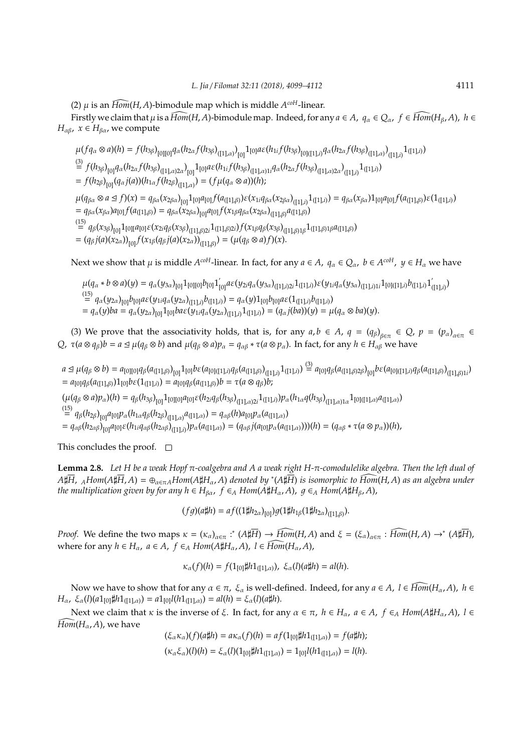(2)  $\mu$  is an  $\widehat{Hom}(H, A)$ -bimodule map which is middle  $A^{coH}$ -linear.

Firstly we claim that  $\mu$  is a  $\widehat{Hom}(H, A)$ -bimodule map. Indeed, for any  $a \in A$ ,  $q_\alpha \in Q_\alpha$ ,  $f \in \widehat{Hom}(H_\beta, A)$ ,  $h \in A$ *H*<sub>αβ</sub>,  $x \in H$ <sub>βα</sub>, we compute

$$
\mu(fq_{\alpha}\otimes a)(h) = f(h_{3\beta})_{[0][0]}q_{\alpha}(h_{2\alpha}f(h_{3\beta})_{([1],\alpha)})_{[0]}1_{[0]}a\varepsilon(h_{1i}f(h_{3\beta})_{[0][(1],i)}q_{\alpha}(h_{2\alpha}f(h_{3\beta})_{([1],\alpha)})_{([1],i)}1_{([1],i)}
$$
  
\n
$$
\stackrel{(3)}{=} f(h_{3\beta})_{[0]}q_{\alpha}(h_{2\alpha}f(h_{3\beta})_{([1],\alpha)2\alpha})_{[0]}1_{[0]}a\varepsilon(h_{1i}f(h_{3\beta})_{([1],\alpha)1i}q_{\alpha}(h_{2\alpha}f(h_{3\beta})_{([1],\alpha)2\alpha})_{([1],i)}1_{([1],i)}
$$
  
\n
$$
= f(h_{2\beta})_{[0]}(q_{\alpha}f(a))(h_{1\alpha}f(h_{2\beta})_{([1],\alpha)}) = (f\mu(q_{\alpha}\otimes a))(h);
$$
  
\n
$$
\mu(q_{\alpha},\otimes a\preceq f)(x) = a_{\alpha}(x_{\alpha})_{\alpha}1_{[0]}1_{[0]}a\circ f(a_{\alpha}g_{\alpha})(x_{\alpha}g_{\alpha})_{[1],i})
$$
  
\n
$$
\mu(q_{\alpha},\otimes a\preceq f)(x) = a_{\alpha}(x_{\alpha})_{\alpha}1_{[0]}a\circ f(a_{\alpha}g_{\alpha})(x_{\alpha}g_{\alpha})(x_{\alpha}g_{\alpha})_{[1],i})
$$

 $\mu(q_{\beta\alpha}\otimes a \trianglelefteq f)(x) = q_{\beta\alpha}(x_{2\beta\alpha})_{[0]} 1_{[0]} a_{[0]} f(a_{([1],\beta)}) \varepsilon(x_{1i}q_{\beta\alpha}(x_{2\beta\alpha})_{([1],i)} 1_{([1],i)}) = q_{\beta\alpha}(x_{\beta\alpha}) 1_{[0]} a_{[0]} f(a_{([1],\beta)}) \varepsilon(1_{([1],i)})$  $= q_{\beta\alpha}(x_{\beta\alpha})a_{[0]}f(a_{([1],\beta)}) = q_{\beta\alpha}(x_{2\beta\alpha})_{[0]}a_{[0]}f(x_{1\beta}q_{\beta\alpha}(x_{2\beta\alpha})_{([1],\beta)}a_{([1],\beta)})$ 

 $\int_{0}^{(15)} q_\beta(x_{3\beta})_{[0]} 1_{[0][} a_{[0]} \varepsilon(x_{2i}q_\beta(x_{3\beta})_{([1],\beta)2i} 1_{([1],\beta)2i}) f(x_{1\beta}q_\beta(x_{3\beta})_{([1],\beta)1\beta} 1_{([1],\beta)1\beta} a_{([1],\beta)}$  $= (q_{\beta} j(a)(x_{2\alpha}))_{[0]} f(x_{1\beta}(q_{\beta} j(a)(x_{2\alpha}))_{([1],\beta)} = (\mu(q_{\beta} \otimes a) f)(x).$ 

Next we show that  $\mu$  is middle  $A^{coH}$ -linear. In fact, for any  $a\in A$ ,  $q_\alpha\in Q_\alpha$ ,  $b\in A^{coH}$ ,  $y\in H_\alpha$  we have

$$
\begin{array}{l}\n\mu(q_{\alpha}*b\otimes a)(y) = q_{\alpha}(y_{3\alpha})_{[0]}1_{[0][0]}b_{[0]}1_{[0]}'a\varepsilon(y_{2i}q_{\alpha}(y_{3\alpha})_{([1],i)2i}1_{([1],i)})\varepsilon(y_{1i}q_{\alpha}(y_{3\alpha})_{([1],i)1i}1_{[0]([1],i)}b_{([1],i)}1_{([1],i)}')\\ \stackrel{(15)}{=} q_{\alpha}(y_{2\alpha})_{[0]}b_{[0]}a\varepsilon(y_{1i}q_{\alpha}(y_{2\alpha})_{([1],i)}b_{([1],i)}) = q_{\alpha}(y)1_{[0]}b_{[0]}a\varepsilon(1_{([1],i)}b_{([1],i)})\\ \n= q_{\alpha}(y)ba = q_{\alpha}(y_{2\alpha})_{[0]}1_{[0]}ba\varepsilon(y_{1i}q_{\alpha}(y_{2\alpha})_{([1],i)}1_{([1],i)}) = (q_{\alpha}j(ba))(y) = \mu(q_{\alpha}\otimes ba)(y).\n\end{array}
$$

(3) We prove that the associativity holds, that is, for any  $a, b \in A$ ,  $q = (q_{\beta})_{\beta \in \pi} \in Q$ ,  $p = (p_{\alpha})_{\alpha \in \pi} \in$ *Q*, *τ*( $a \otimes q_{\beta}$ )*b* =  $a \leq \mu(q_{\beta} \otimes b)$  and  $\mu(q_{\beta} \otimes a)p_{\alpha} = q_{\alpha\beta} * \tau(a \otimes p_{\alpha})$ . In fact, for any  $h \in H_{\alpha\beta}$  we have

 $a\trianglelefteq\mu(q_{\beta}\otimes b)=a_{[0][0]}q_{\beta}(a_{([1],\beta)})_{[0]}1_{[0]}b\epsilon(a_{[0][[1],i)}q_{\beta}(a_{([1],\beta)})_{([1],i)}1_{([1],i)})\stackrel{(3)}{=}a_{[0]}q_{\beta}(a_{([1],\beta)2\beta})_{[0]}b\epsilon(a_{[0][[1],i)}q_{\beta}(a_{([1],\beta))_{([1],\beta)1i}})$  $= a_{[0]}q_{\beta}(a_{([1],\beta)})1_{[0]}b\varepsilon(1_{([1],i)}) = a_{[0]}q_{\beta}(a_{([1],\beta)})b = \tau(a\otimes q_{\beta})b;$ 

 $(\mu(q_{\beta}\otimes a)p_{\alpha})(h)=q_{\beta}(h_{3\beta})_{[0]}1_{[0][0]}a_{[0]}\varepsilon(h_{2i}q_{\beta}(h_{3\beta})_{([1],\alpha)2i}1_{([1],i)})p_{\alpha}(h_{1\alpha}q(h_{3\beta})_{([1],\alpha)1\alpha}1_{[0]([1],\alpha)}a_{([1],\alpha)})$ 

 $\int_{0}^{(15)} q_{\beta}(h_{2\beta})_{[0]} a_{[0]} p_{\alpha}(h_{1\alpha}q_{\beta}(h_{2\beta})_{([1],\alpha)} a_{([1],\alpha)}) = q_{\alpha\beta}(h) a_{[0]} p_{\alpha}(a_{([1],\alpha)})$ 

=  $q_{\alpha\beta}(h_{2\alpha\beta})_{[0]}a_{[0]}\varepsilon(h_{1i}q_{\alpha\beta}(h_{2\alpha\beta})_{([1],i)})p_{\alpha}(a_{([1],\alpha)}) = (q_{\alpha\beta}j(a_{[0]}p_{\alpha}(a_{([1],\alpha)})))(h) = (q_{\alpha\beta} * \tau(a\otimes p_{\alpha}))(h),$ 

This concludes the proof.  $\square$ 

**Lemma 2.8.** *Let H be a weak Hopf* π*-coalgebra and A a weak right H-*π*-comodulelike algebra. Then the left dual of*  $A\sharp\overline{H}$ ,  $_AHom(A\sharp\overline{H},A)=\oplus_{\alpha\in\pi_A}Hom(A\sharp H_\alpha,A)$  denoted by \*( $A\sharp\overline{H}$ ) is isomorphic to  $\widetilde{Hom}(H,A)$  as an algebra under *the multiplication given by for any*  $h \in H_{\beta\alpha}$ *,*  $f \in_A Hom(A\sharp H_\alpha, A)$ *,*  $g \in_A Hom(A\sharp H_\beta, A)$ *,* 

 $(fg)(a\sharp h) = af((1\sharp h_{2\alpha})_{[0]})g(1\sharp h_{1\beta}(1\sharp h_{2\alpha})_{([1],\beta)}).$ 

*Proof.* We define the two maps  $\kappa = (\kappa_{\alpha})_{\alpha \in \pi}$ :  $(A \sharp \overline{H}) \to \widehat{Hom}(H, A)$  and  $\xi = (\xi_{\alpha})_{\alpha \in \pi}$ :  $\widehat{Hom}(H, A) \to^* (A \sharp \overline{H})$ , where for any  $h \in H_\alpha$ ,  $a \in A$ ,  $f \in_A Hom(A\sharp H_\alpha, A)$ ,  $l \in \widehat{Hom}(H_\alpha, A)$ ,

$$
\kappa_{\alpha}(f)(h) = f(1_{[0]}\sharp h1_{([1],\alpha)}), \xi_{\alpha}(l)(a\sharp h) = al(h).
$$

Now we have to show that for any  $\alpha \in \pi$ ,  $\xi_{\alpha}$  is well-defined. Indeed, for any  $a \in A$ ,  $l \in \widehat{Hom}(H_{\alpha},A)$ ,  $h \in$ *H*<sub>α</sub>,  $\xi_{\alpha}(l)(a1_{[0]}\sharp h1_{([1],\alpha)}) = a1_{[0]}l(h1_{([1],\alpha)}) = al(h) = \xi_{\alpha}(l)(a\sharp h).$ 

Next we claim that *κ* is the inverse of *ξ*. In fact, for any *α* ∈ π, *h* ∈ *H<sub>α</sub>*, *a* ∈ *A*, *f* ∈<sub>*A*</sub> *Hom*(*A*‡*H*<sub>α</sub>, *A*), *l* ∈  $\widehat{Hom}(H_\alpha,A)$ , we have

$$
(\xi_{\alpha}\kappa_{\alpha})(f)(a\sharp h) = a\kappa_{\alpha}(f)(h) = af(1_{[0]}\sharp h1_{([1],\alpha)}) = f(a\sharp h);
$$
  

$$
(\kappa_{\alpha}\xi_{\alpha})(l)(h) = \xi_{\alpha}(l)(1_{[0]}\sharp h1_{([1],\alpha)}) = 1_{[0]}l(h1_{([1],\alpha)}) = l(h).
$$